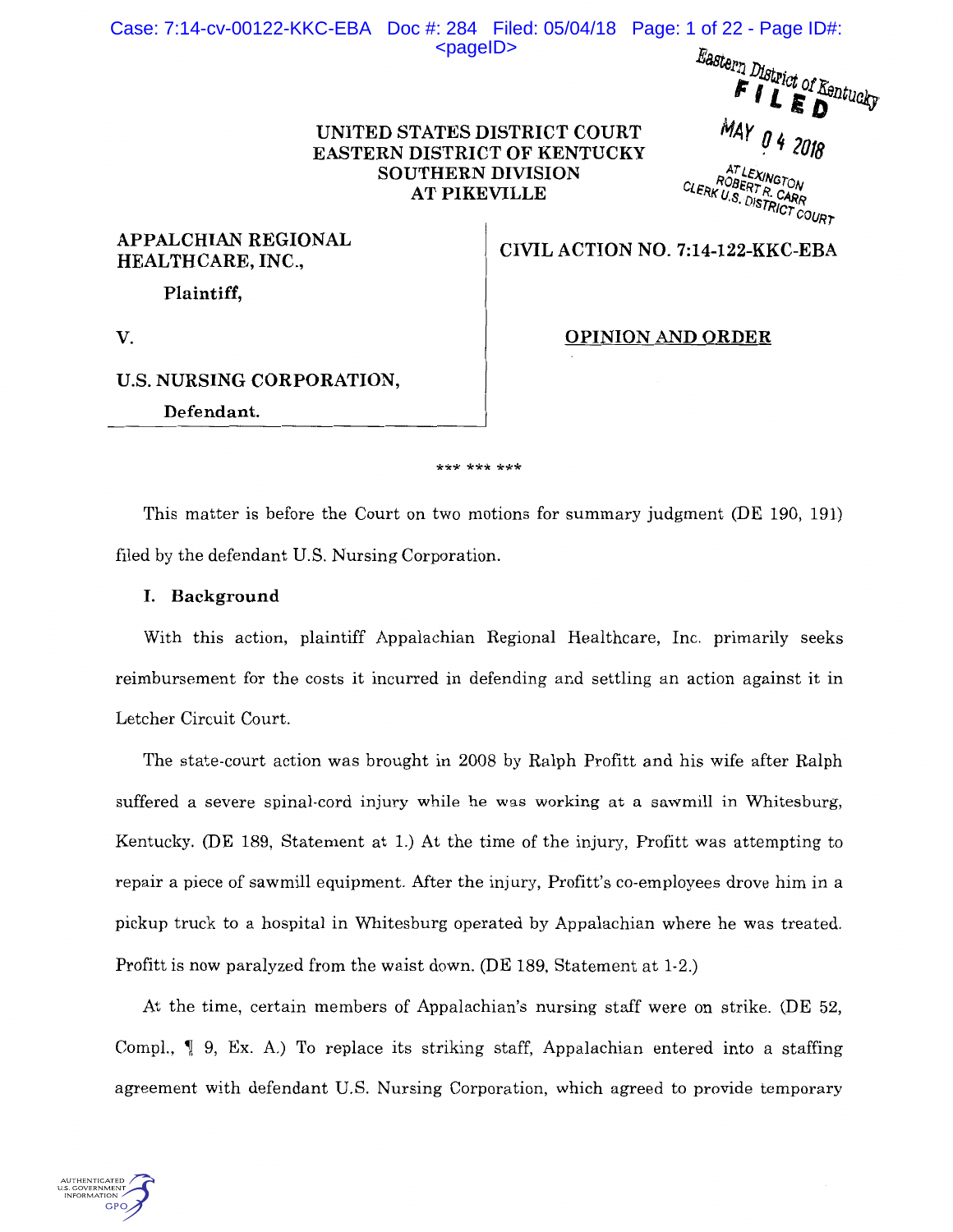# Case: 7:14-cv-00122-KKC-EBA Doc #: 284 Filed: 05/04/18 Page: 1 of 22 - Page ID#:  $<$ pageID $>$

Eastern District of Kentucky  $F1L$ MAY 04 2018

AT LEXINGTON<br>ROBERT R. CARR<br>CLERK U.S. DISTRICT COURT

# **UNITED STATES DISTRICT COURT EASTERN DISTRICT OF KENTUCKY SOUTHERN DIVISION AT PIKEVILLE**

**APPALCHIAN REGIONAL HEALTHCARE, INC., CIVIL ACTION NO. 7:14-122-KKC-EBA** 

**Plaintiff,** 

v. **OPINION AND ORDER** 

# U.S. **NURSING CORPORATION,**

**Defendant.** 

#### \*\*\* \*\*\* \*\*\*

This matter is before the Court on two motions for summary judgment (DE 190, 191) filed by the defendant U.S. Nursing Corporation.

## **I. Background**

With this action, plaintiff Appalachian Regional Healthcare, Inc. primarily seeks reimbursement for the costs it incurred in defending and settling an action against it in Letcher Circuit Court.

The state-court action was brought in 2008 by Ralph Profitt and his wife after Ralph suffered a severe spinal-cord injury while he was working at a sawmill in Whitesburg, Kentucky. (DE 189, Statement at 1.) At the time of the injury, Profitt was attempting to repair a piece of sawmill equipment. After the injury, Profitt's co-employees drove him in a pickup truck to a hospital in Whitesburg operated by Appalachian where he was treated. Profitt is now paralyzed from the waist down. (DE 189, Statement at 1-2.)

At the time, certain members of Appalachian's nursing staff were on strike. (DE 52, Compl.,  $\parallel$  9, Ex. A.) To replace its striking staff, Appalachian entered into a staffing agreement with defendant U.S. Nursing Corporation, which agreed to provide temporary

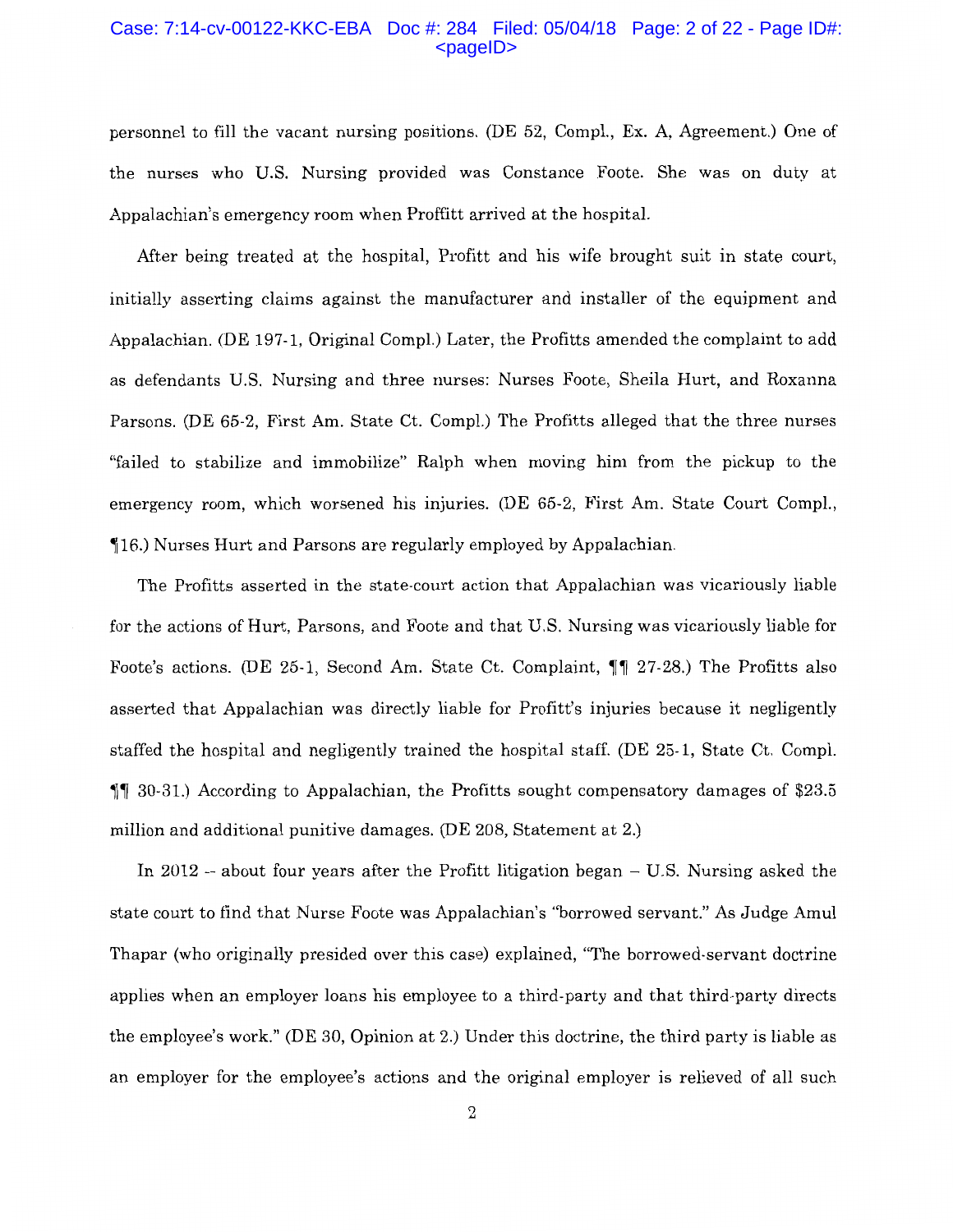#### Case: 7:14-cv-00122-KKC-EBA Doc #: 284 Filed: 05/04/18 Page: 2 of 22 - Page ID#: <pageID>

personnel to fill the vacant nursing positions. (DE 52, Compl., Ex. A, Agreement.) One of the nurses who U.S. Nursing provided was Constance Foote. She was on duty at Appalachian's emergency room when Proffitt arrived at the hospital.

After being treated at the hospital, Profitt and his wife brought suit in state court, initially asserting claims against the manufacturer and installer of the equipment and Appalachian. (DE 197-1, Original Compl.) Later, the Profitts amended the complaint to add as defendants U.S. Nursing and three nurses: Nurses Foote, Sheila Hurt, and Roxanna Parsons. (DE 65-2, First Am. State Ct. Compl.) The Profitts alleged that the three nurses "failed to stabilize and immobilize" Ralph when moving him from the pickup to the emergency room, which worsened his injuries. (DE 65-2, First Am. State Court Compl., **16.)** Nurses Hurt and Parsons are regularly employed by Appalachian.

The Profitts asserted in the state-court action that Appalachian was vicariously liable for the actions of Hurt, Parsons, and Foote and that U.S. Nursing was vicariously liable for Foote's actions. (DE 25-1, Second Am. State Ct. Complaint,  $\P\P$  27-28.) The Profitts also asserted that Appalachian was directly liable for Profitt's injuries because it negligently staffed the hospital and negligently trained the hospital staff. (DE 25-1, State Ct. Compl.  $\parallel$  1 30-31.) According to Appalachian, the Profitts sought compensatory damages of \$23.5 million and additional punitive damages. (DE 208, Statement at 2.)

In 2012 – about four years after the Profitt litigation began  $-$  U.S. Nursing asked the state court to find that Nurse Foote was Appalachian's "borrowed servant." As Judge Amul Thapar (who originally presided over this case) explained, "The borrowed-servant doctrine applies when an employer loans his employee to a third-party and that third-party directs the employee's work." (DE 30, Opinion at 2.) Under this doctrine, the third party is liable as an employer for the employee's actions and the original employer is relieved of all such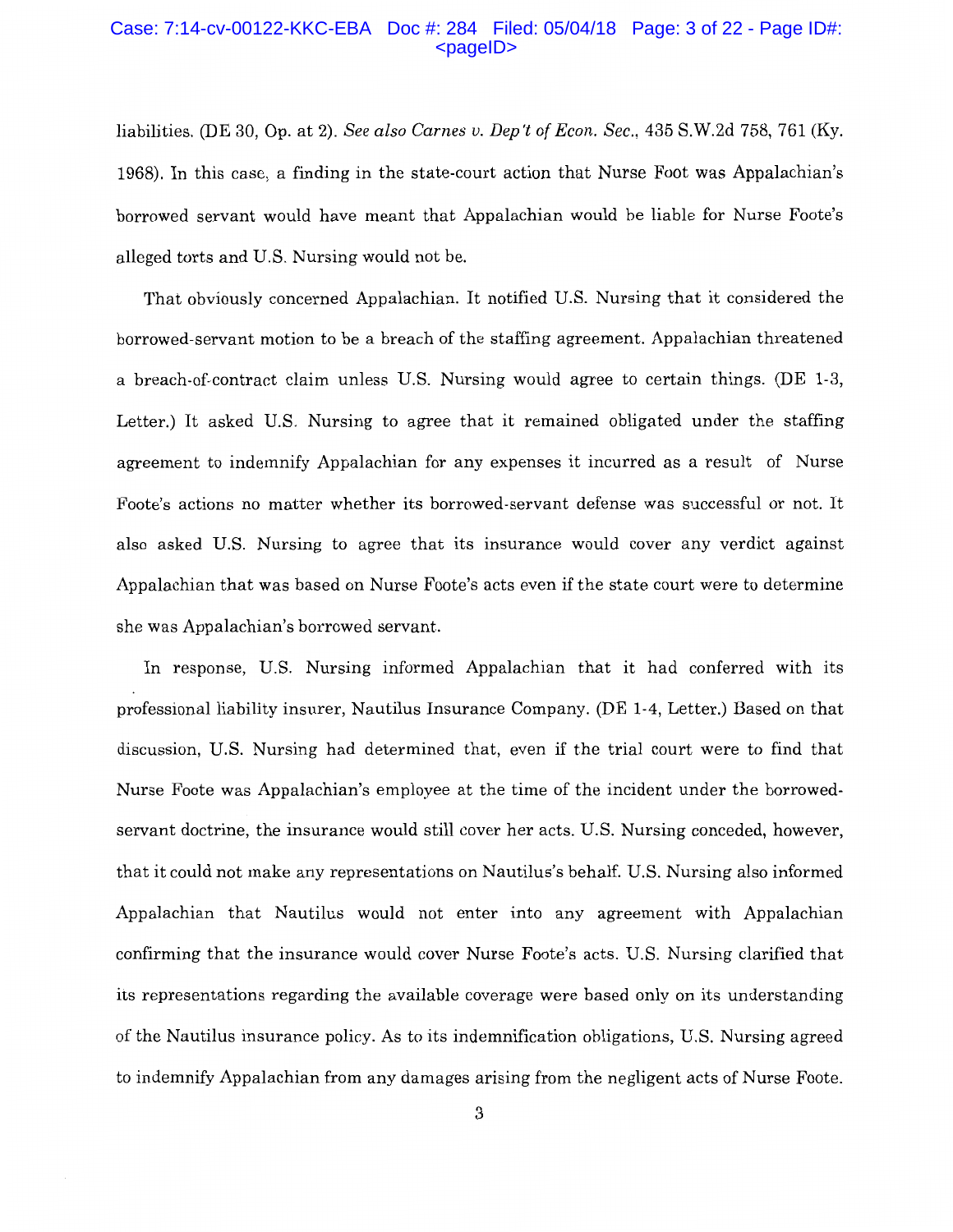#### Case: 7:14-cv-00122-KKC-EBA Doc #: 284 Filed: 05/04/18 Page: 3 of 22 - Page ID#:  $<$ pageID $>$

liabilities. (DE 30, Op. at 2). *See also Carnes v. Dep 't of Econ. Sec.,* 435 S.W.2d 758, 761 (Ky. 1968). In this case, a finding in the state-court action that Nurse Foot was Appalachian's borrowed servant would have meant that Appalachian would be liable for Nurse Foote's alleged torts and U.S. Nursing would not be.

That obviously concerned Appalachian. It notified U.S. Nursing that it considered the borrowed-servant motion to be a breach of the staffing agreement. Appalachian threatened a breach-of-contract claim unless U.S. Nursing would agree to certain things. (DE 1-3, Letter.) It asked U.S. Nursing to agree that it remained obligated under the staffing agreement to indemnify Appalachian for any expenses it incurred as a result of Nurse Foote's actions no matter whether its borrowed-servant defense was successful or not. It also asked U.S. Nursing to agree that its insurance would cover any verdict against Appalachian that was based on Nurse Foote's acts even if the state court were to determine she was Appalachian's borrowed servant.

In response, U.S. Nursing informed Appalachian that it had conferred with its professional liability insurer, Nautilus Insurance Company. (DE 1-4, Letter.) Based on that discussion, U.S. Nursing had determined that, even if the trial court were to find that Nurse Foote was Appalachian's employee at the time of the incident under the borrowedservant doctrine, the insurance would still cover her acts. U.S. Nursing conceded, however, that it could not make any representations on Nautilus's behalf. U.S. Nursing also informed Appalachian that Nautilus would not enter into any agreement with Appalachian confirming that the insurance would cover Nurse Foote's acts. U.S. Nursing clarified that its representations regarding the available coverage were based only on its understanding of the Nautilus insurance policy. As to its indemnification obligations, U.S. Nursing agreed to indemnify Appalachian from any damages arising from the negligent acts of Nurse Foote.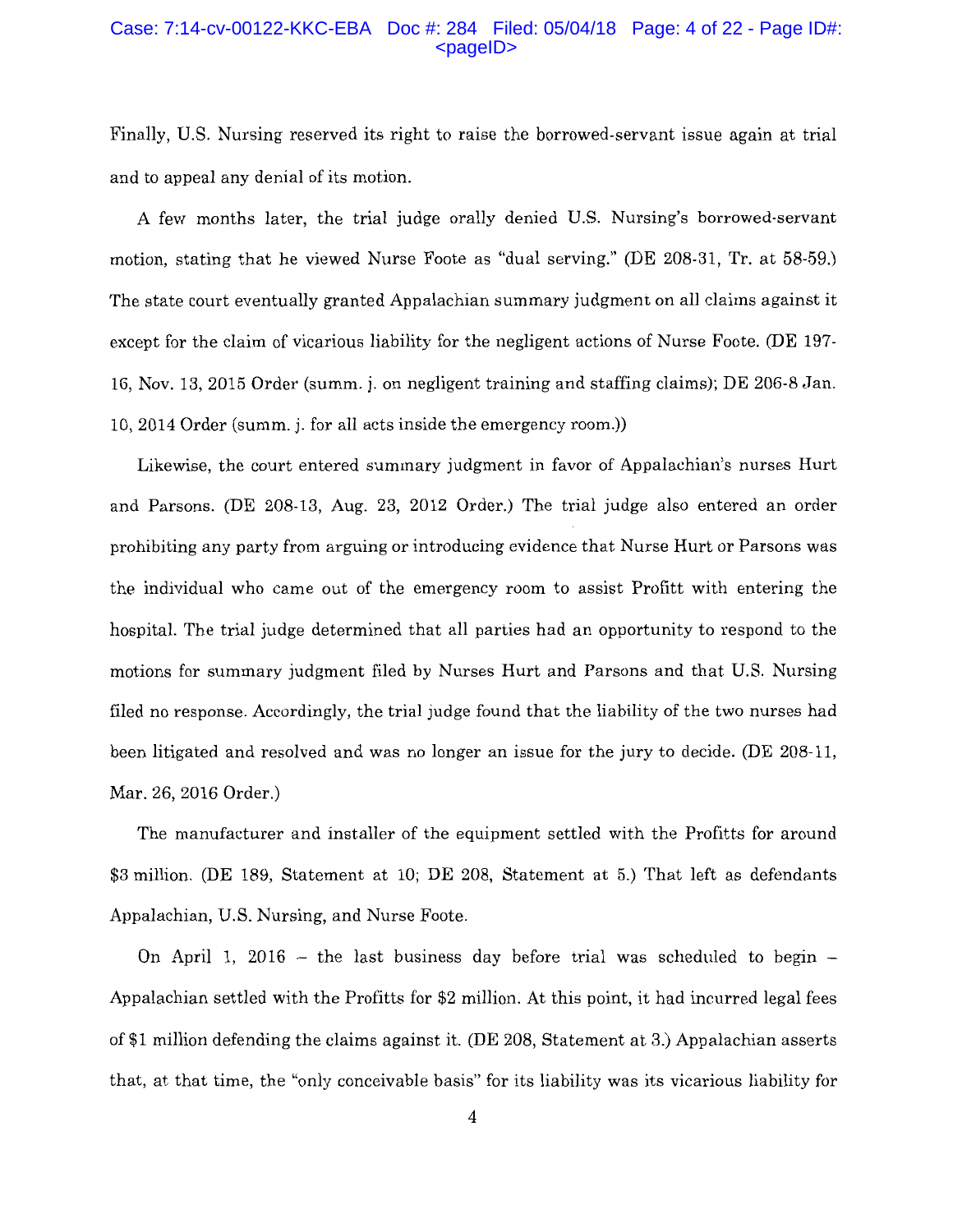#### Case: 7:14-cv-00122-KKC-EBA Doc #: 284 Filed: 05/04/18 Page: 4 of 22 - Page ID#: <pageID>

Finally, U.S. Nursing reserved its right to raise the borrowed-servant issue again at trial and to appeal any denial of its motion.

A few months later, the trial judge orally denied U.S. Nursing's borrowed-servant motion, stating that he viewed Nurse Foote as "dual serving." (DE 208-31, Tr. at 58-59.) The state court eventually granted Appalachian summary judgment on all claims against it except for the claim of vicarious liability for the negligent actions of Nurse Foote. (DE 197- 16, Nov. 13, 2015 Order (summ. j. on negligent training and staffing claims); DE 206-8 Jan. 10, 2014 Order (summ. j. for all acts inside the emergency room.))

Likewise, the court entered summary judgment in favor of Appalachian's nurses Hurt and Parsons. (DE 208-13, Aug. 23, 2012 Order.) The trial judge also entered an order prohibiting any party from arguing or introducing evidence that Nurse Hurt or Parsons was the individual who came out of the emergency room to assist Profitt with entering the hospital. The trial judge determined that all parties had an opportunity to respond to the motions for summary judgment filed by Nurses Hurt and Parsons and that U.S. Nursing filed no response. Accordingly, the trial judge found that the liability of the two nurses had been litigated and resolved and was no longer an issue for the jury to decide. (DE 208-11, Mar. 26, 2016 Order.)

The manufacturer and installer of the equipment settled with the Profitts for around \$3 million. (DE 189, Statement at 10; DE 208, Statement at 5.) That left as defendants Appalachian, U.S. Nursing, and Nurse Foote.

On April 1, 2016 – the last business day before trial was scheduled to begin – Appalachian settled with the Profitts for \$2 million. At this point, it had incurred legal fees of \$1 million defending the claims against it. (DE 208, Statement at 3.) Appalachian asserts that, at that time, the "only conceivable basis" for its liability was its vicarious liability for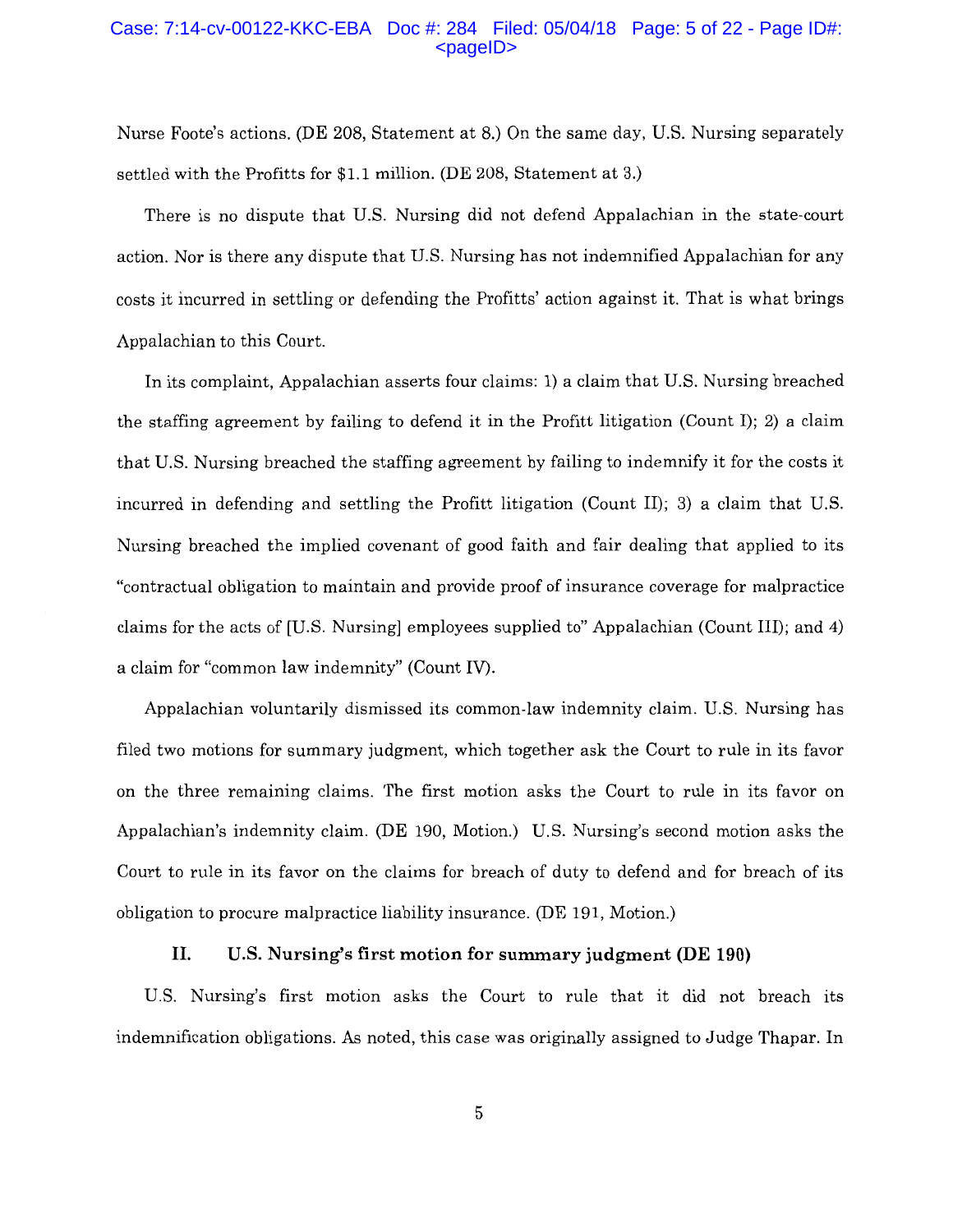### Case: 7:14-cv-00122-KKC-EBA Doc #: 284 Filed: 05/04/18 Page: 5 of 22 - Page ID#: <pageID>

Nurse Foote's actions. (DE 208, Statement at 8.) On the same day, U.S. Nursing separately settled with the Profitts for \$1.1 million. (DE 208, Statement at 3.)

There is no dispute that U.S. Nursing did not defend Appalachian in the state-court action. Nor is there any dispute that U.S. Nursing has not indemnified Appalachian for any costs it incurred in settling or defending the Profitts' action against it. That is what brings Appalachian to this Court.

In its complaint, Appalachian asserts four claims: 1) a claim that U.S. Nursing breached the staffing agreement by failing to defend it in the Profitt litigation (Count I); 2) a claim that U.S. Nursing breached the staffing agreement by failing to indemnify it for the costs it incurred in defending and settling the Profitt litigation (Count II); 3) a claim that U.S. Nursing breached the implied covenant of good faith and fair dealing that applied to its "contractual obligation to maintain and provide proof of insurance coverage for malpractice claims for the acts of [U.S. Nursing] employees supplied to" Appalachian (Count III); and 4) a claim for "common law indemnity" (Count IV).

Appalachian voluntarily dismissed its common-law indemnity claim. U.S. Nursing has filed two motions for summary judgment, which together ask the Court to rule in its favor on the three remaining claims. The first motion asks the Court to rule in its favor on Appalachian's indemnity claim. (DE 190, Motion.) U.S. Nursing's second motion asks the Court to rule in its favor on the claims for breach of duty to defend and for breach of its obligation to procure malpractice liability insurance. (DE 191, Motion.)

## **II. U.S. Nursing's first motion for summary judgment (DE 190)**

U.S. Nursing's first motion asks the Court to rule that it did not breach its indemnification obligations. As noted, this case was originally assigned to Judge Thapar. In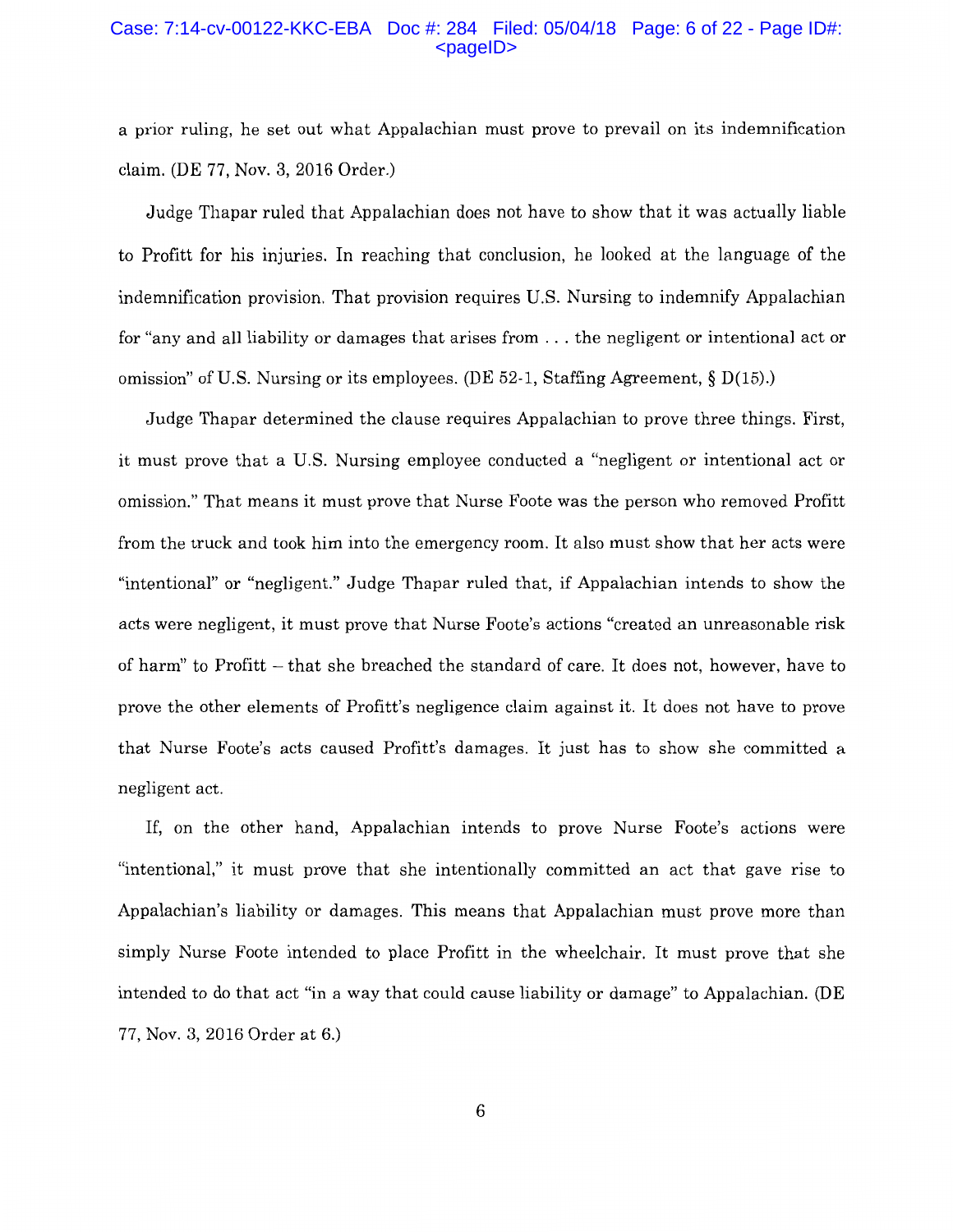## Case: 7:14-cv-00122-KKC-EBA Doc #: 284 Filed: 05/04/18 Page: 6 of 22 - Page ID#: <pageID>

a prior ruling, he set out what Appalachian must prove to prevail on its indemnification claim. (DE 77, Nov. 3, 2016 Order.)

Judge Thapar ruled that Appalachian does not have to show that it was actually liable to Profitt for his injuries. In reaching that conclusion, he looked at the language of the indemnification provision. That provision requires U.S. Nursing to indemnify Appalachian for "any and all liability or damages that arises from ... the negligent or intentional act or omission" of U.S. Nursing or its employees. (DE 52-1, Staffing Agreement,  $\S D(15)$ .)

Judge Thapar determined the clause requires Appalachian to prove three things. First, it must prove that a U.S. Nursing employee conducted a "negligent or intentional act or omission." That means it must prove that Nurse Foote was the person who removed Profitt from the truck and took him into the emergency room. It also must show that her acts were "intentional" or "negligent." Judge Thapar ruled that, if Appalachian intends to show the acts were negligent, it must prove that Nurse Foote's actions "created an unreasonable risk of harm" to Profitt – that she breached the standard of care. It does not, however, have to prove the other elements of Profitt's negligence claim against it. It does not have to prove that Nurse Foote's acts caused Profitt's damages. It just has to show she committed a negligent act.

If, on the other hand, Appalachian intends to prove Nurse Foote's actions were "intentional,'' it must prove that she intentionally committed an act that gave rise to Appalachian's liability or damages. This means that Appalachian must prove more than simply Nurse Foote intended to place Profitt in the wheelchair. It must prove that she intended to do that act "in a way that could cause liability or damage" to Appalachian. (DE 77, Nov. 3, 2016 Order at 6.)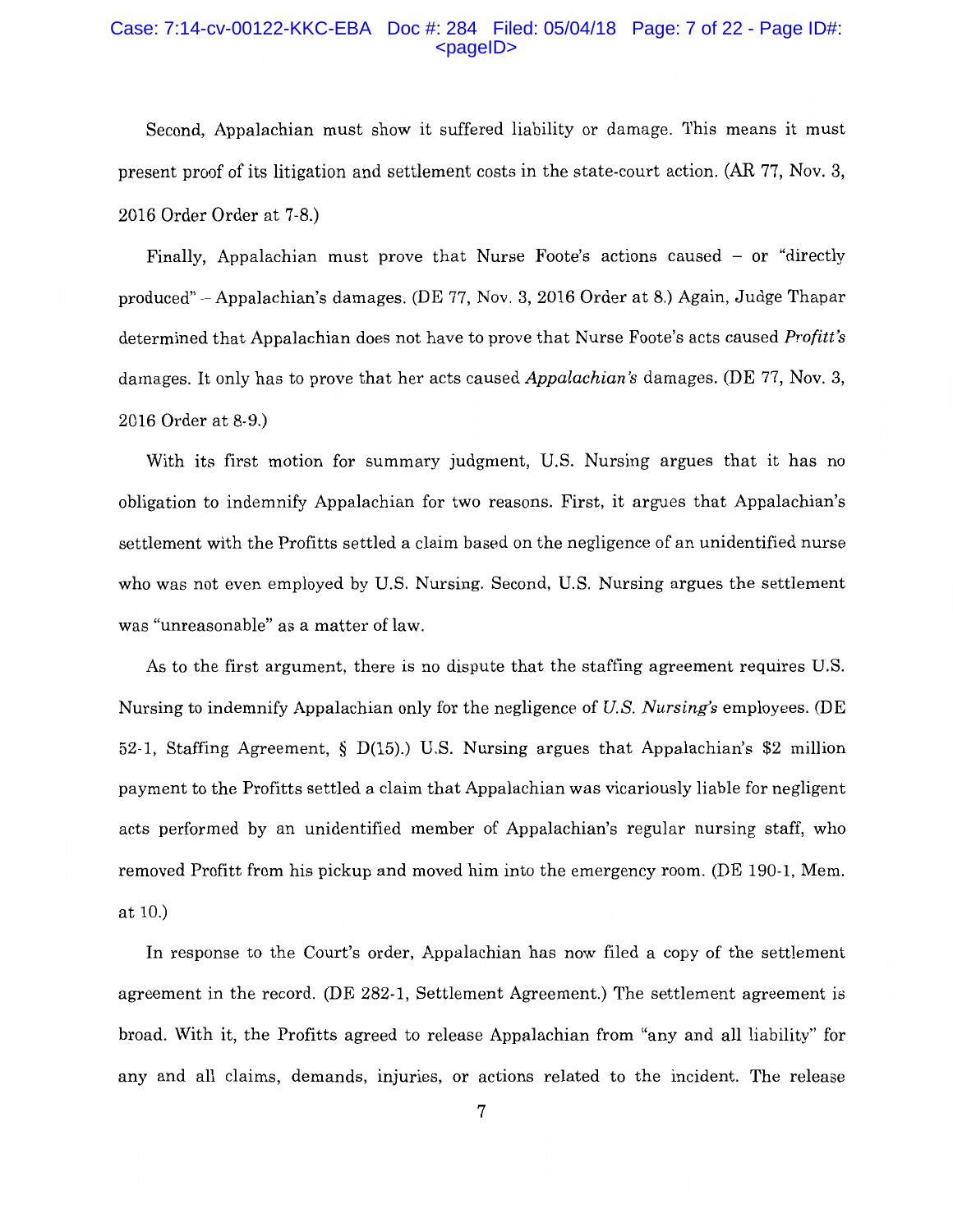### Case: 7:14-cv-00122-KKC-EBA Doc #: 284 Filed: 05/04/18 Page: 7 of 22 - Page ID#:  $<$ pageID $>$

Second, Appalachian must show it suffered liability or damage. This means it must present proof of its litigation and settlement costs in the state-court action. (AR 77, Nov. 3, 2016 Order Order at 7-8.)

Finally, Appalachian must prove that Nurse Foote's actions caused  $-$  or "directly produced" -Appalachian's damages. (DE 77, Nov. 3, 2016 Order at 8.) Again, Judge Thapar determined that Appalachian does not have to prove that Nurse Foote's acts caused *Profitt's*  damages. It only has to prove that her acts caused *Appalachian's* damages. (DE 77, Nov. 3, 2016 Order at 8-9.)

With its first motion for summary judgment, U.S. Nursing argues that it has no obligation to indemnify Appalachian for two reasons. First, it argues that Appalachian's settlement with the Profitts settled a claim based on the negligence of an unidentified nurse who was not even employed by U.S. Nursing. Second, U.S. Nursing argues the settlement was "unreasonable" as a matter of law.

As to the first argument, there is no dispute that the staffing agreement requires U.S. Nursing to indemnify Appalachian only for the negligence of *U.S. Nursing's* employees. (DE 52-1, Staffing Agreement, § D(15).) U.S. Nursing argues that Appalachian's \$2 million payment to the Profitts settled a claim that Appalachian was vicariously liable for negligent acts performed by an unidentified member of Appalachian's regular nursing staff, who removed Profitt from his pickup and moved him into the emergency room. (DE 190-1, Mem. at 10.)

In response to the Court's order, Appalachian has now filed a copy of the settlement agreement in the record. (DE 282-1, Settlement Agreement.) The settlement agreement is broad. With it, the Profitts agreed to release Appalachian from "any and all liability" for any and all claims, demands, injuries, or actions related to the incident. The release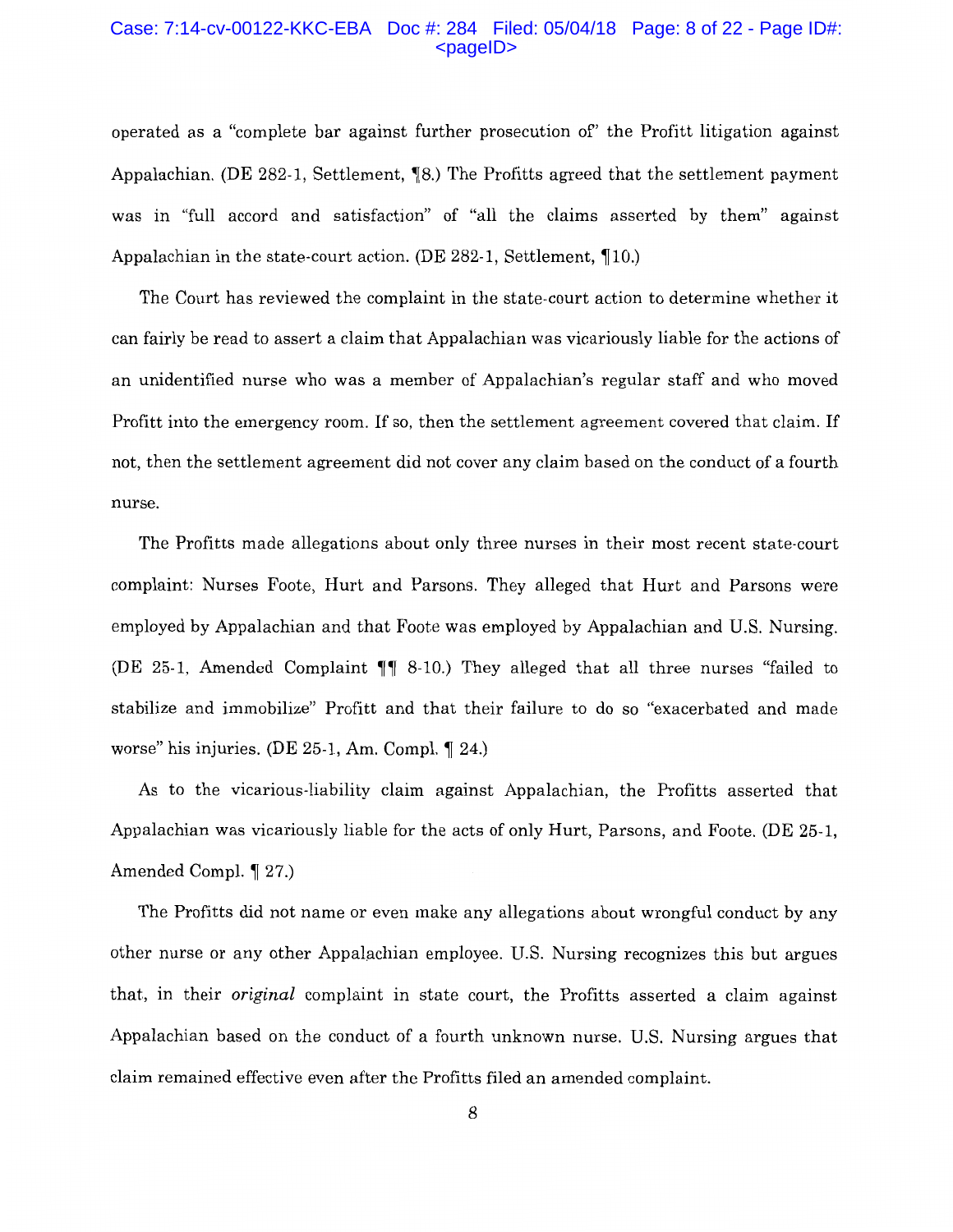#### Case: 7:14-cv-00122-KKC-EBA Doc #: 284 Filed: 05/04/18 Page: 8 of 22 - Page ID#:  $<$ pageID $>$

operated as a "complete bar against further prosecution of' the Profitt litigation against Appalachian. (DE 282-1, Settlement,  $\parallel 8$ .) The Profitts agreed that the settlement payment was in "full accord and satisfaction" of "all the claims asserted by them" against Appalachian in the state-court action. (DE  $282-1$ , Settlement, 10.)

The Court has reviewed the complaint in the state-court action to determine whether it can fairly be read to assert a claim that Appalachian was vicariously liable for the actions of an unidentified nurse who was a member of Appalachian's regular staff and who moved Profitt into the emergency room. If so, then the settlement agreement covered that claim. If not, then the settlement agreement did not cover any claim based on the conduct of a fourth nurse.

The Profitts made allegations about only three nurses in their most recent state-court complaint: Nurses Foote, Hurt and Parsons. They alleged that Hurt and Parsons were employed by Appalachian and that Foote was employed by Appalachian and U.S. Nursing. (DE 25-1, Amended Complaint  $\P\P$  8-10.) They alleged that all three nurses "failed to stabilize and immobilize" Profitt and that their failure to do so "exacerbated and made worse" his injuries. (DE  $25-1$ , Am. Compl.  $\llbracket 24 \rrbracket$ 

As to the vicarious-liability claim against Appalachian, the Profitts asserted that Appalachian was vicariously liable for the acts of only Hurt, Parsons, and Foote. (DE 25-1, Amended Compl.  $\P$  27.)

The Profitts did not name or even make any allegations about wrongful conduct by any other nurse or any other Appalachian employee. U.S. Nursing recognizes this but argues that, in their *original* complaint in state court, the Profitts asserted a claim against Appalachian based on the conduct of a fourth unknown nurse. U.S. Nursing argues that claim remained effective even after the Profitts filed an amended complaint.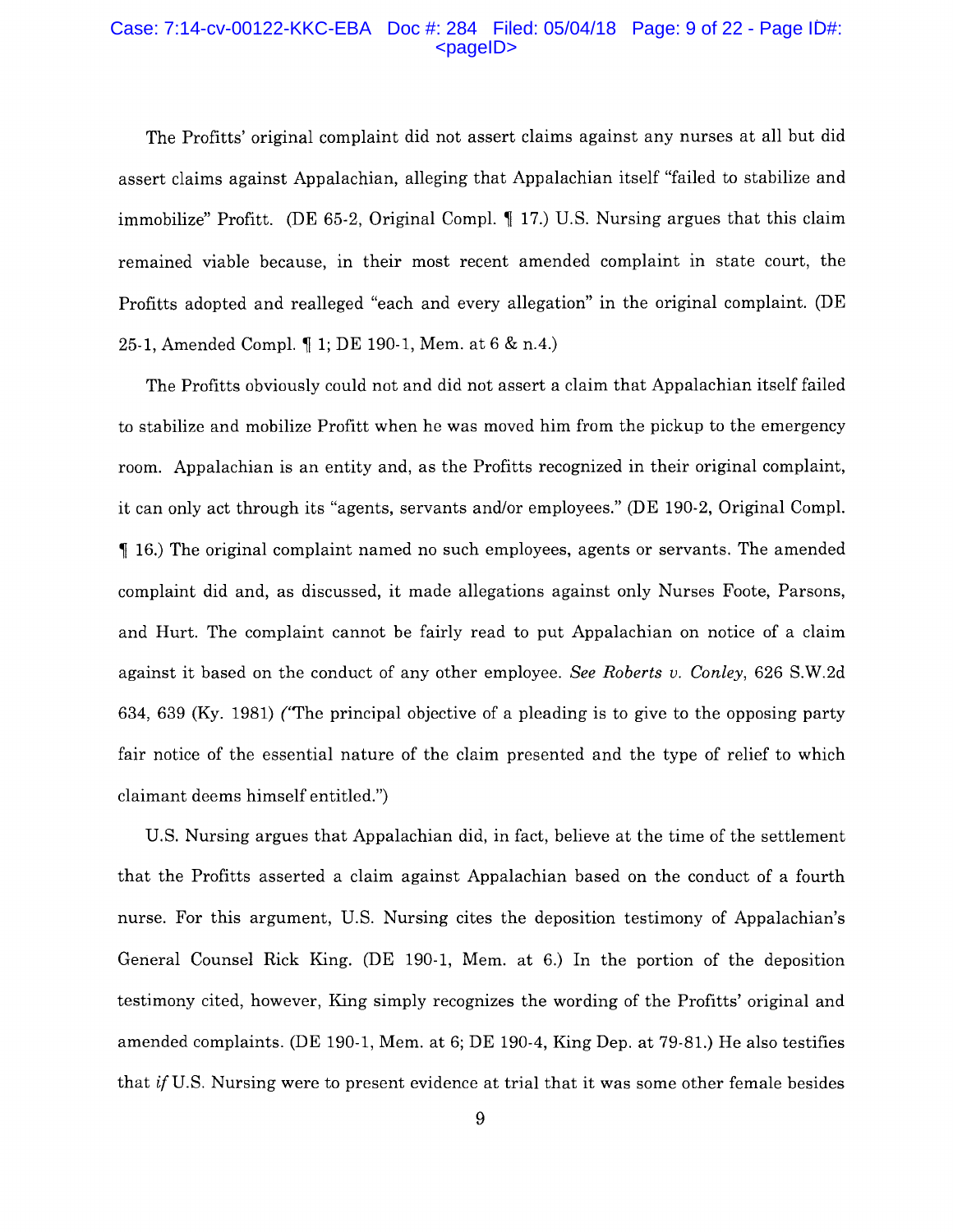#### Case: 7:14-cv-00122-KKC-EBA Doc #: 284 Filed: 05/04/18 Page: 9 of 22 - Page ID#: <pageID>

The Profitts' original complaint did not assert claims against any nurses at all but did assert claims against Appalachian, alleging that Appalachian itself "failed to stabilize and immobilize" Profitt. (DE 65-2, Original Compl.  $\parallel$  17.) U.S. Nursing argues that this claim remained viable because, in their most recent amended complaint in state court, the Profitts adopted and realleged "each and every allegation" in the original complaint. (DE 25-1, Amended Compl.  $\parallel$  1; DE 190-1, Mem. at 6 & n.4.)

The Profitts obviously could not and did not assert a claim that Appalachian itself failed to stabilize and mobilize Profitt when he was moved him from the pickup to the emergency room. Appalachian is an entity and, as the Profitts recognized in their original complaint, it can only act through its "agents, servants and/or employees." (DE 190-2, Original Compl.  $\parallel$  16.) The original complaint named no such employees, agents or servants. The amended complaint did and, as discussed, it made allegations against only Nurses Foote, Parsons, and Hurt. The complaint cannot be fairly read to put Appalachian on notice of a claim against it based on the conduct of any other employee. *See Roberts v. Conley,* 626 S.W.2d 634, 639 (Ky. 1981) ('The principal objective of a pleading is to give to the opposing party fair notice of the essential nature of the claim presented and the type of relief to which claimant deems himself entitled.")

U.S. Nursing argues that Appalachian did, in fact, believe at the time of the settlement that the Profitts asserted a claim against Appalachian based on the conduct of a fourth nurse. For this argument, U.S. Nursing cites the deposition testimony of Appalachian's General Counsel Rick King. (DE 190-1, Mem. at 6.) In the portion of the deposition testimony cited, however, King simply recognizes the wording of the Profitts' original and amended complaints. (DE 190-1, Mem. at 6; DE 190-4, King Dep. at 79-81.) He also testifies that *if* U.S. Nursing were to present evidence at trial that it was some other female besides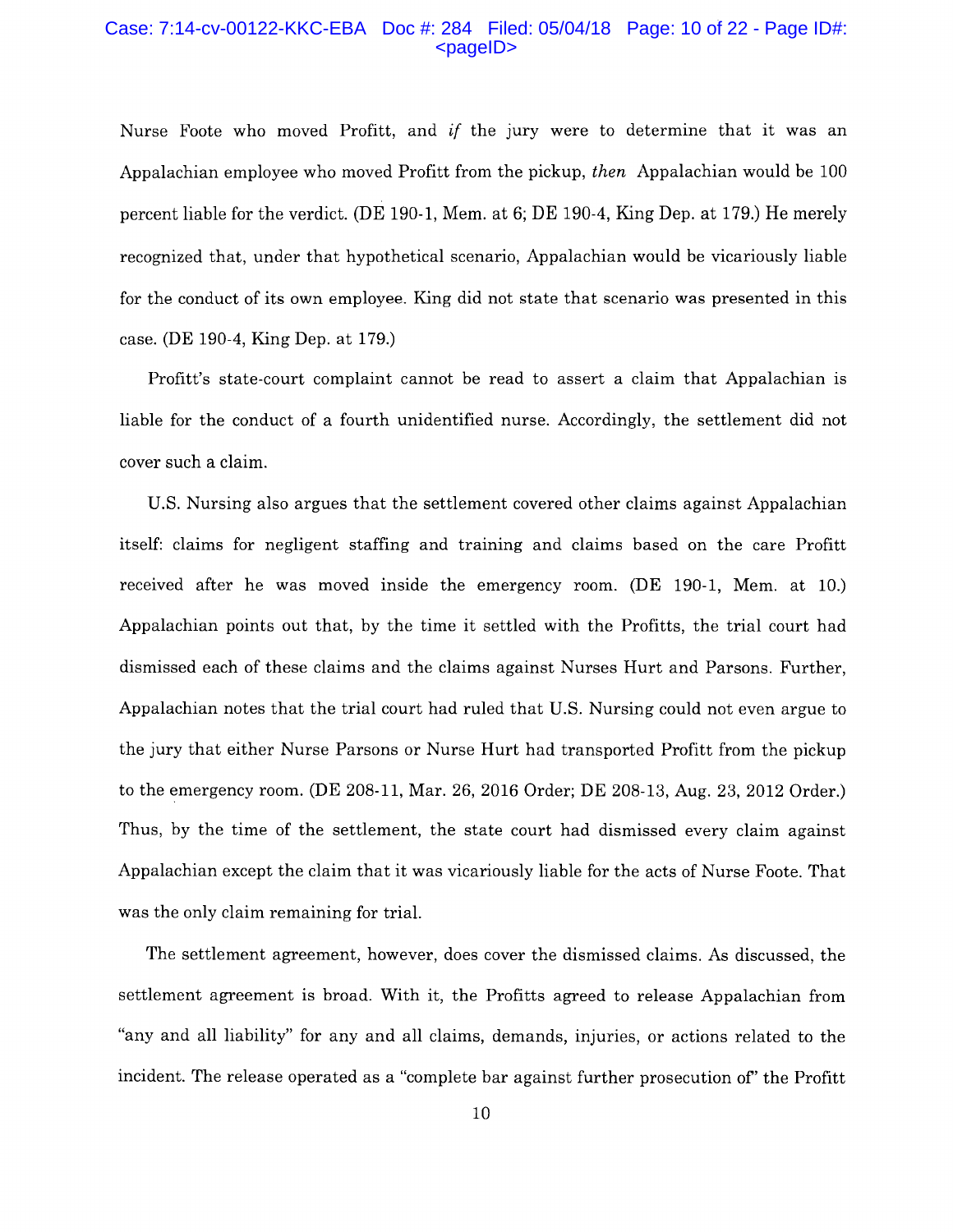#### Case: 7:14-cv-00122-KKC-EBA Doc #: 284 Filed: 05/04/18 Page: 10 of 22 - Page ID#: <pageID>

Nurse Foote who moved Profitt, and *if* the jury were to determine that it was an Appalachian employee who moved Profitt from the pickup, *then* Appalachian would be 100 percent liable for the verdict. (DE 190-1, Mem. at 6; DE 190-4, King Dep. at 179.) He merely recognized that, under that hypothetical scenario, Appalachian would be vicariously liable for the conduct of its own employee. King did not state that scenario was presented in this case. (DE 190-4, King Dep. at 179.)

Profitt's state-court complaint cannot be read to assert a claim that Appalachian is liable for the conduct of a fourth unidentified nurse. Accordingly, the settlement did not cover such a claim.

U.S. Nursing also argues that the settlement covered other claims against Appalachian itself: claims for negligent staffing and training and claims based on the care Profitt received after he was moved inside the emergency room. (DE 190-1, Mem. at 10.) Appalachian points out that, by the time it settled with the Profitts, the trial court had dismissed each of these claims and the claims against Nurses Hurt and Parsons. Further, Appalachian notes that the trial court had ruled that U.S. Nursing could not even argue to the jury that either Nurse Parsons or Nurse Hurt had transported Profitt from the pickup to the emergency room. (DE 208-11, Mar. 26, 2016 Order; DE 208-13, Aug. 23, 2012 Order.) Thus, by the time of the settlement, the state court had dismissed every claim against Appalachian except the claim that it was vicariously liable for the acts of Nurse Foote. That was the only claim remaining for trial.

The settlement agreement, however, does cover the dismissed claims. As discussed, the settlement agreement is broad. With it, the Profitts agreed to release Appalachian from "any and all liability" for any and all claims, demands, injuries, or actions related to the incident. The release operated as a "complete bar against further prosecution of' the Profitt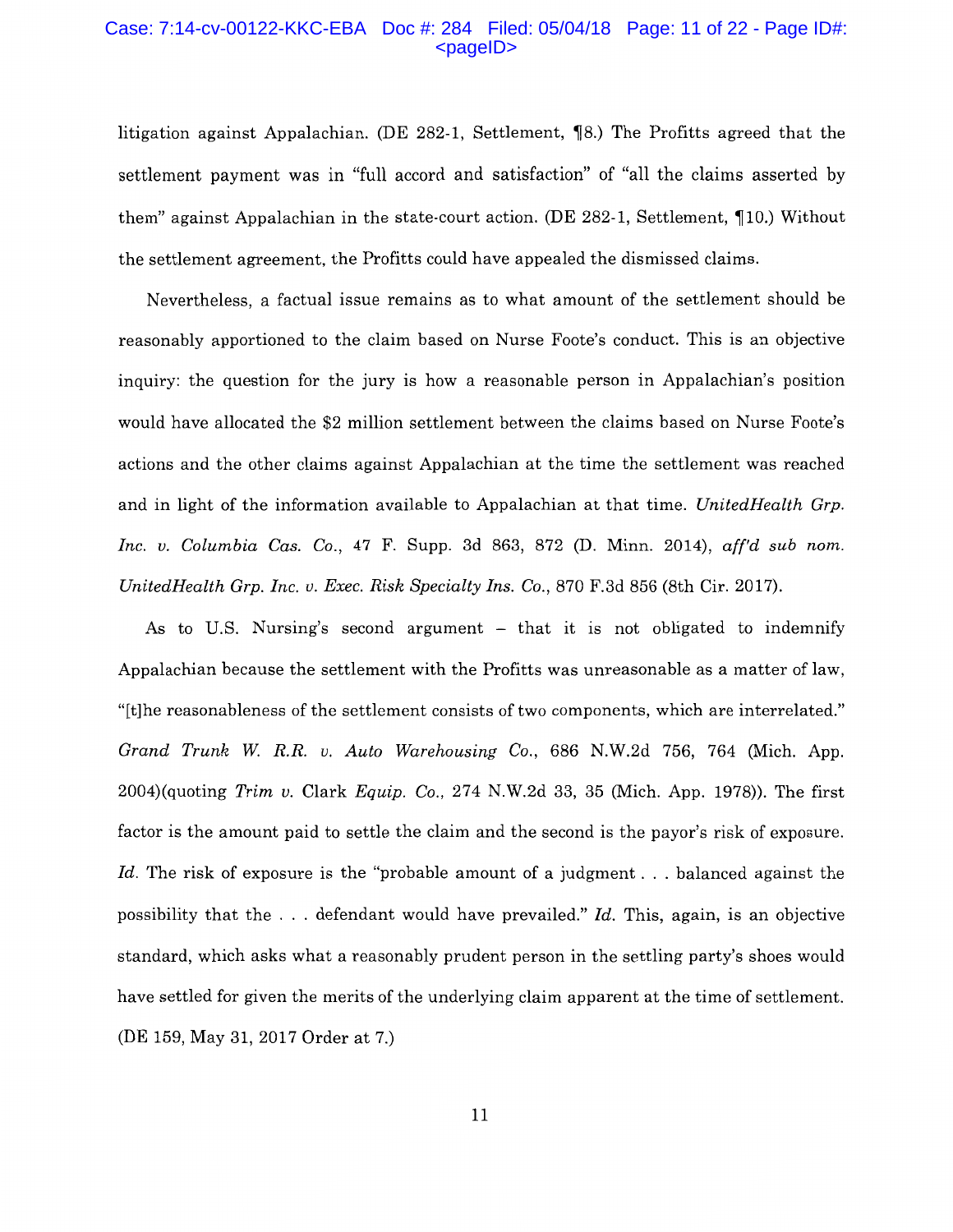#### Case: 7:14-cv-00122-KKC-EBA Doc #: 284 Filed: 05/04/18 Page: 11 of 22 - Page ID#:  $<$ pageID $>$

litigation against Appalachian. (DE 282-1, Settlement,  $\P$ 8.) The Profitts agreed that the settlement payment was in "full accord and satisfaction" of "all the claims asserted by them" against Appalachian in the state-court action. (DE 282-1, Settlement,  $\P$ 10.) Without the settlement agreement, the Profitts could have appealed the dismissed claims.

Nevertheless, a factual issue remains as to what amount of the settlement should be reasonably apportioned to the claim based on Nurse Foote's conduct. This is an objective inquiry: the question for the jury is how a reasonable person in Appalachian's position would have allocated the \$2 million settlement between the claims based on Nurse Foote's actions and the other claims against Appalachian at the time the settlement was reached and in light of the information available to Appalachian at that time. *UnitedHealth Grp. Inc. v. Columbia Cas. Co.,* 47 F. Supp. 3d 863, 872 (D. Minn. 2014), *aff'd sub nom. UnitedHealth Grp. Inc. v. Exec. Risk Specialty Ins.* Co., 870 F.3d 856 (8th Cir. 2017).

As to U.S. Nursing's second argument  $-$  that it is not obligated to indemnify Appalachian because the settlement with the Profitts was unreasonable as a matter of law, "[t]he reasonableness of the settlement consists of two components, which are interrelated." *Grand Trunk W R.R. v. Auto Warehousing Co.,* 686 N.W.2d 756, 764 (Mich. App. 2004)(quoting *Trim v.* Clark *Equip.* Co., 274 N.W.2d 33, 35 (Mich. App. 1978)). The first factor is the amount paid to settle the claim and the second is the payor's risk of exposure. *Id.* The risk of exposure is the "probable amount of a judgment . . . balanced against the possibility that the ... defendant would have prevailed." *Id.* This, again, is an objective standard, which asks what a reasonably prudent person in the settling party's shoes would have settled for given the merits of the underlying claim apparent at the time of settlement. (DE 159, May 31, 2017 Order at 7.)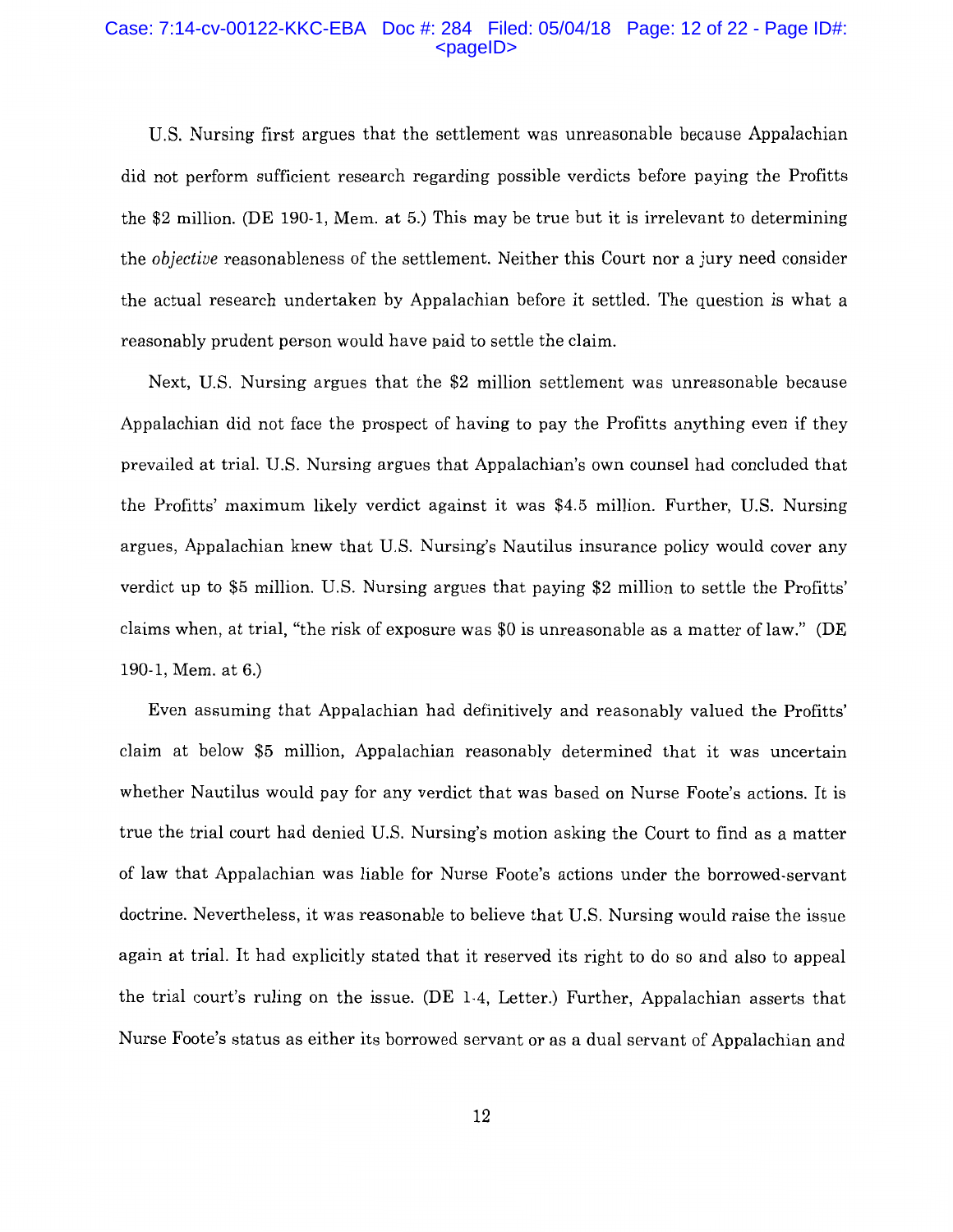#### Case: 7:14-cv-00122-KKC-EBA Doc #: 284 Filed: 05/04/18 Page: 12 of 22 - Page ID#:  $<$ pageID $>$

U.S. Nursing first argues that the settlement was unreasonable because Appalachian did not perform sufficient research regarding possible verdicts before paying the Profitts the \$2 million. (DE 190-1, Mem. at 5.) This may be true but it is irrelevant to determining the *objective* reasonableness of the settlement. Neither this Court nor a jury need consider the actual research undertaken by Appalachian before it settled. The question is what a reasonably prudent person would have paid to settle the claim.

Next, U.S. Nursing argues that the \$2 million settlement was unreasonable because Appalachian did not face the prospect of having to pay the Profitts anything even if they prevailed at trial. U.S. Nursing argues that Appalachian's own counsel had concluded that the Profitts' maximum likely verdict against it was \$4.5 million. Further, U.S. Nursing argues, Appalachian knew that U.S. Nursing's Nautilus insurance policy would cover any verdict up to \$5 million. U.S. Nursing argues that paying \$2 million to settle the Profitts' claims when, at trial, "the risk of exposure was \$0 is unreasonable as a matter of law." (DE 190-1, Mem. at 6.)

Even assuming that Appalachian had definitively and reasonably valued the Profitts' claim at below \$5 million, Appalachian reasonably determined that it was uncertain whether Nautilus would pay for any verdict that was based on Nurse Foote's actions. It is true the trial court had denied U.S. Nursing's motion asking the Court to find as a matter of law that Appalachian was liable for Nurse Foote's actions under the borrowed-servant doctrine. Nevertheless, it was reasonable to believe that U.S. Nursing would raise the issue again at trial. It had explicitly stated that it reserved its right to do so and also to appeal the trial court's ruling on the issue. (DE 1-4, Letter.) Further, Appalachian asserts that Nurse Foote's status as either its borrowed servant or as a dual servant of Appalachian and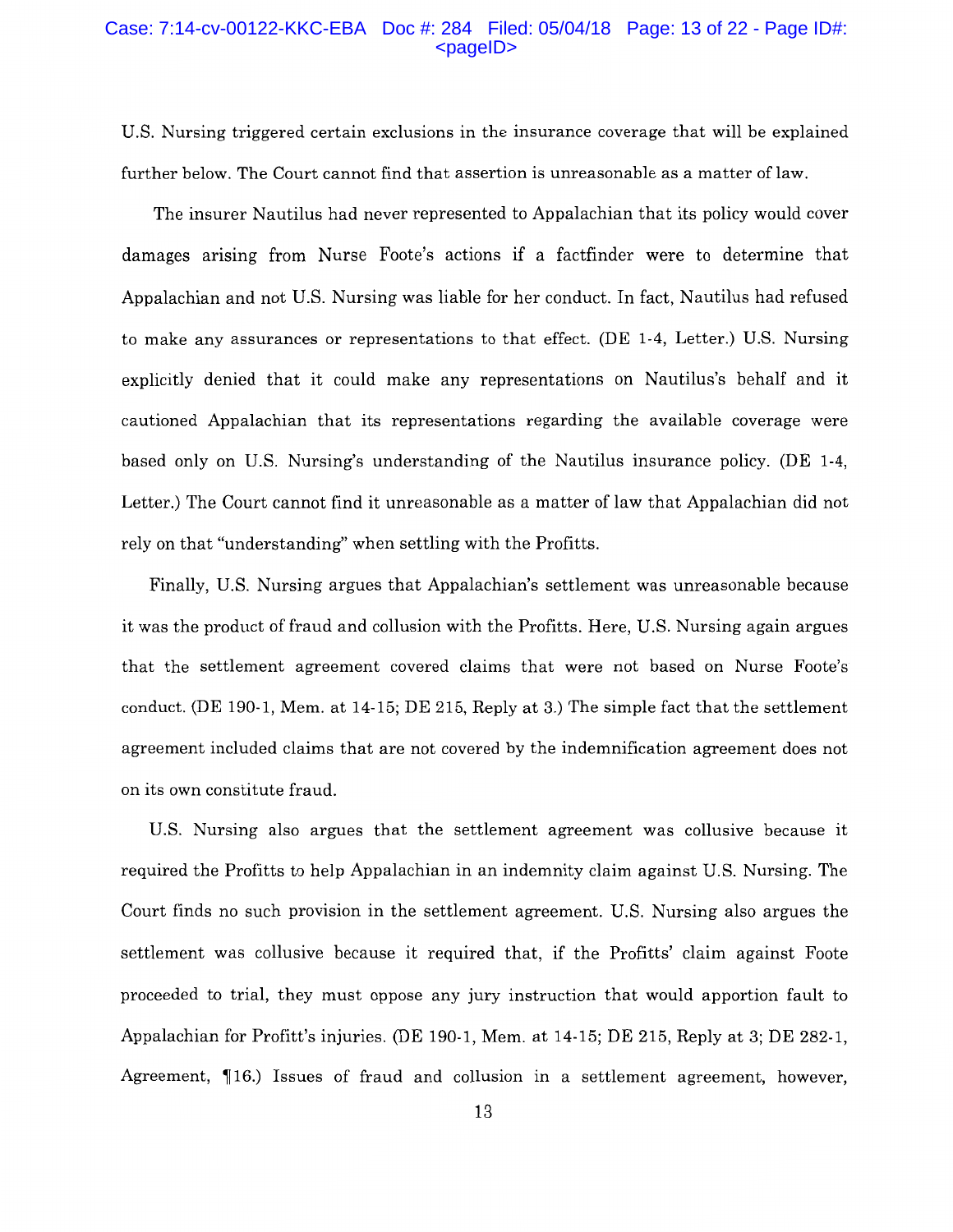#### Case: 7:14-cv-00122-KKC-EBA Doc #: 284 Filed: 05/04/18 Page: 13 of 22 - Page ID#:  $<$ pageID $>$

U.S. Nursing triggered certain exclusions in the insurance coverage that will be explained further below. The Court cannot find that assertion is unreasonable as a matter of law.

The insurer Nautilus had never represented to Appalachian that its policy would cover damages arising from Nurse Foote's actions if a factfinder were to determine that Appalachian and not U.S. Nursing was liable for her conduct. In fact, Nautilus had refused to make any assurances or representations to that effect. (DE 1-4, Letter.) U.S. Nursing explicitly denied that it could make any representations on Nautilus's behalf and it cautioned Appalachian that its representations regarding the available coverage were based only on U.S. Nursing's understanding of the Nautilus insurance policy. (DE 1-4, Letter.) The Court cannot find it unreasonable as a matter of law that Appalachian did not rely on that "understanding" when settling with the Profitts.

Finally, U.S. Nursing argues that Appalachian's settlement was unreasonable because it was the product of fraud and collusion with the Profitts. Here, U.S. Nursing again argues that the settlement agreement covered claims that were not based on Nurse Foote's conduct. (DE 190-1, Mem. at 14-15; DE 215, Reply at 3.) The simple fact that the settlement agreement included claims that are not covered by the indemnification agreement does not on its own constitute fraud.

U.S. Nursing also argues that the settlement agreement was collusive because it required the Profitts to help Appalachian in an indemnity claim against U.S. Nursing. The Court finds no such provision in the settlement agreement. U.S. Nursing also argues the settlement was collusive because it required that, if the Profitts' claim against Foote proceeded to trial, they must oppose any jury instruction that would apportion fault to Appalachian for Profitt's injuries. (DE 190-1, Mem. at 14-15; DE 215, Reply at 3; DE 282-1, Agreement,  $\P$ 16.) Issues of fraud and collusion in a settlement agreement, however,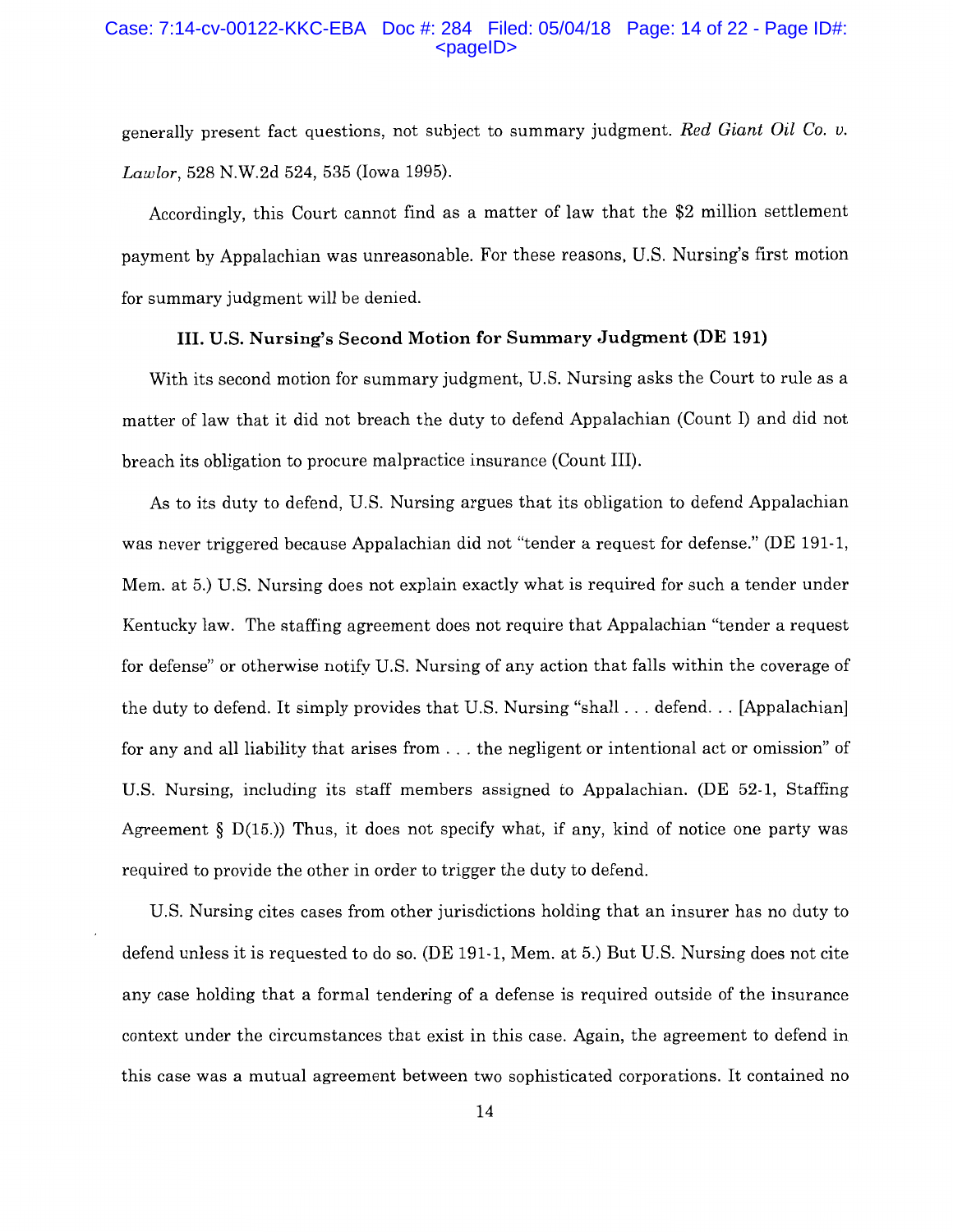## Case: 7:14-cv-00122-KKC-EBA Doc #: 284 Filed: 05/04/18 Page: 14 of 22 - Page ID#:  $<$ pageID $>$

generally present fact questions, not subject to summary judgment. *Red Giant Oil Co. v. Lawlor,* 528 N.W.2d 524, 535 (Iowa 1995).

Accordingly, this Court cannot find as a matter of law that the \$2 million settlement payment by Appalachian was unreasonable. For these reasons, U.S. Nursing's first motion for summary judgment will be denied.

# **III. U.S. Nursing's Second Motion for Summary Judgment (DE 191)**

With its second motion for summary judgment, U.S. Nursing asks the Court to rule as a matter of law that it did not breach the duty to defend Appalachian (Count I) and did not breach its obligation to procure malpractice insurance (Count III).

As to its duty to defend, U.S. Nursing argues that its obligation to defend Appalachian was never triggered because Appalachian did not "tender a request for defense." (DE 191-1, Mem. at 5.) U.S. Nursing does not explain exactly what is required for such a tender under Kentucky law. The staffing agreement does not require that Appalachian "tender a request for defense" or otherwise notify U.S. Nursing of any action that falls within the coverage of the duty to defend. It simply provides that U.S. Nursing "shall . . . defend. . . [Appalachian] for any and all liability that arises from ... the negligent or intentional act or omission" of U.S. Nursing, including its staff members assigned to Appalachian. (DE 52-1, Staffing Agreement  $\S$  D(15.)) Thus, it does not specify what, if any, kind of notice one party was required to provide the other in order to trigger the duty to defend.

U.S. Nursing cites cases from other jurisdictions holding that an insurer has no duty to defend unless it is requested to do so. (DE 191-1, Mem. at 5.) But U.S. Nursing does not cite any case holding that a formal tendering of a defense is required outside of the insurance context under the circumstances that exist in this case. Again, the agreement to defend in this case was a mutual agreement between two sophisticated corporations. It contained no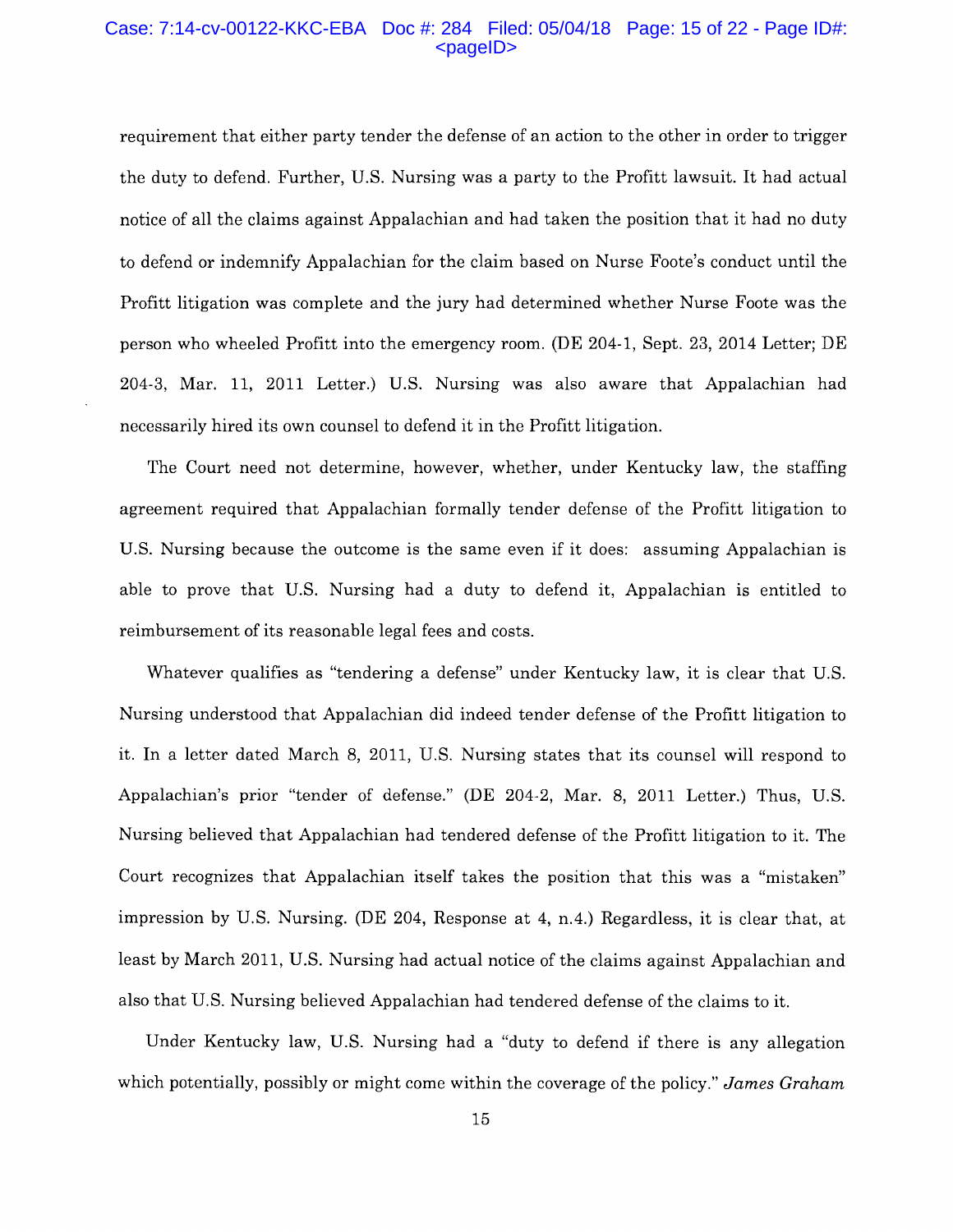#### Case: 7:14-cv-00122-KKC-EBA Doc #: 284 Filed: 05/04/18 Page: 15 of 22 - Page ID#: <pageID>

requirement that either party tender the defense of an action to the other in order to trigger the duty to defend. Further, U.S. Nursing was a party to the Profitt lawsuit. It had actual notice of all the claims against Appalachian and had taken the position that it had no duty to defend or indemnify Appalachian for the claim based on Nurse Foote's conduct until the Profitt litigation was complete and the jury had determined whether Nurse Foote was the person who wheeled Profitt into the emergency room. (DE 204-1, Sept. 23, 2014 Letter; DE 204-3, Mar. 11, 2011 Letter.) U.S. Nursing was also aware that Appalachian had necessarily hired its own counsel to defend it in the Profitt litigation.

The Court need not determine, however, whether, under Kentucky law, the staffing agreement required that Appalachian formally tender defense of the Profitt litigation to U.S. Nursing because the outcome is the same even if it does: assuming Appalachian is able to prove that U.S. Nursing had a duty to defend it, Appalachian is entitled to reimbursement of its reasonable legal fees and costs.

Whatever qualifies as "tendering a defense" under Kentucky law, it is clear that U.S. Nursing understood that Appalachian did indeed tender defense of the Profitt litigation to it. In a letter dated March 8, 2011, U.S. Nursing states that its counsel will respond to Appalachian's prior "tender of defense." (DE 204-2, Mar. 8, 2011 Letter.) Thus, U.S. Nursing believed that Appalachian had tendered defense of the Profitt litigation to it. The Court recognizes that Appalachian itself takes the position that this was a "mistaken" impression by U.S. Nursing. (DE 204, Response at 4, n.4.) Regardless, it is clear that, at least by March 2011, U.S. Nursing had actual notice of the claims against Appalachian and also that U.S. Nursing believed Appalachian had tendered defense of the claims to it.

Under Kentucky law, U.S. Nursing had a "duty to defend if there is any allegation which potentially, possibly or might come within the coverage of the policy." *James Graham*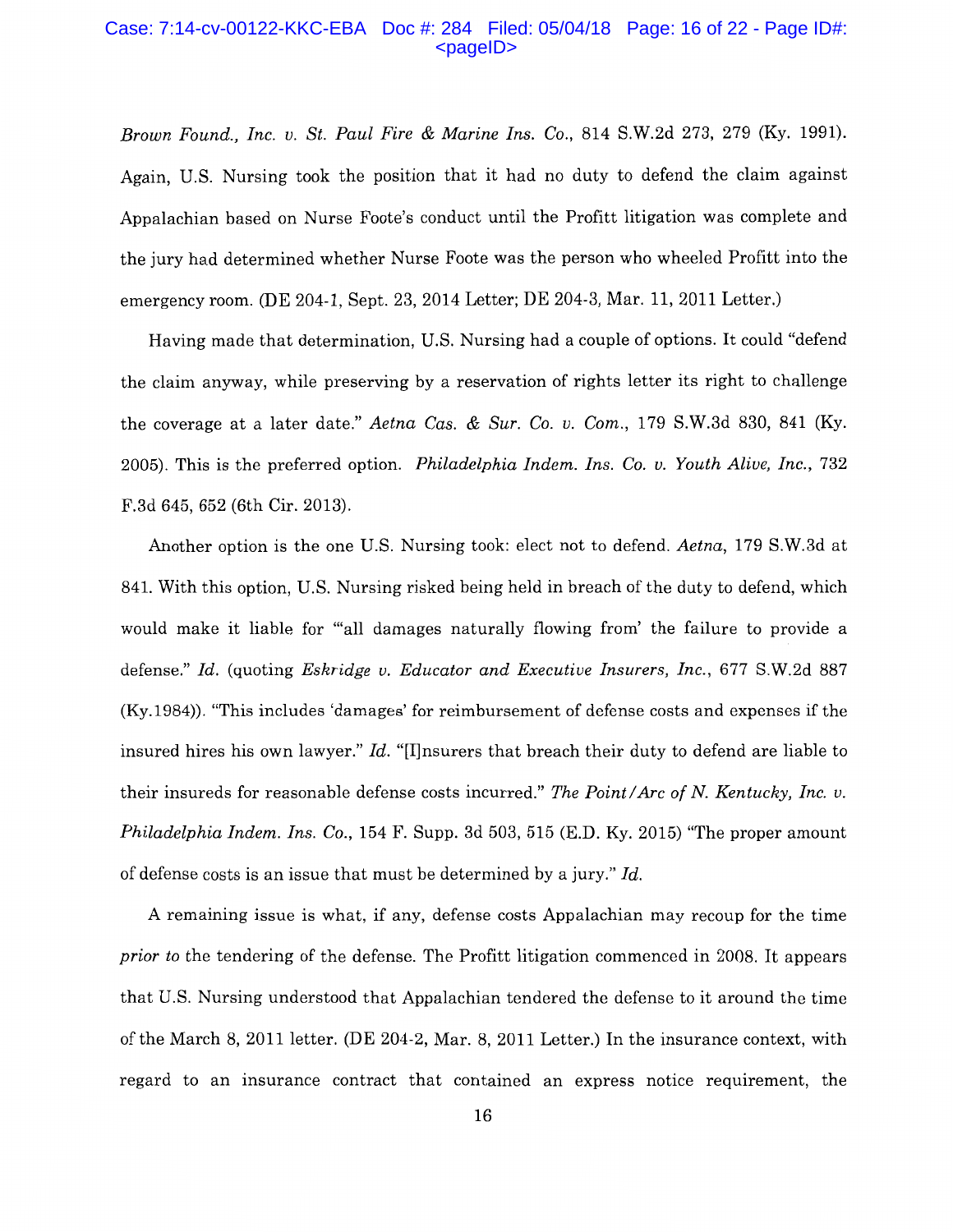#### Case: 7:14-cv-00122-KKC-EBA Doc #: 284 Filed: 05/04/18 Page: 16 of 22 - Page ID#:  $<$ pageID $>$

*Brown Found., Inc. v. St. Paul Fire* & *Marine Ins.* Co., 814 S.W.2d 273, 279 (Ky. 1991). Again, U.S. Nursing took the position that it had no duty to defend the claim against Appalachian based on Nurse Foote's conduct until the Profitt litigation was complete and the jury had determined whether Nurse Foote was the person who wheeled Profitt into the emergency room. (DE 204-1, Sept. 23, 2014 Letter; DE 204-3, Mar. 11, 2011 Letter.)

Having made that determination, U.S. Nursing had a couple of options. It could "defend the claim anyway, while preserving by a reservation of rights letter its right to challenge the coverage at a later date." *Aetna Cas.* & *Sur. Co. v. Com.,* 179 S.W.3d 830, 841 (Ky. 2005). This is the preferred option. *Philadelphia Indem. Ins.* Co. *v. Youth Alive, Inc.,* 732 F.3d 645, 652 (6th Cir. 2013).

Another option is the one U.S. Nursing took: elect not to defend. *Aetna,* 179 S.W.3d at 841. With this option, U.S. Nursing risked being held in breach of the duty to defend, which would make it liable for "'all damages naturally flowing from' the failure to provide a defense." *Id.* (quoting *Eskridge v. Educator and Executive Insurers, Inc.,* 677 S.W.2d 887 (Ky.1984)). "This includes 'damages' for reimbursement of defense costs and expenses if the insured hires his own lawyer." *Id.* "[I]nsurers that breach their duty to defend are liable to their insureds for reasonable defense costs incurred." *The Point/ Arc of N. Kentucky, Inc. v. Philadelphia Indem. Ins.* Co., 154 F. Supp. 3d 503, 515 (E.D. Ky. 2015) "The proper amount of defense costs is an issue that must be determined by a jury." *Id.* 

A remaining issue is what, if any, defense costs Appalachian may recoup for the time *prior to* the tendering of the defense. The Profitt litigation commenced in 2008. It appears that U.S. Nursing understood that Appalachian tendered the defense to it around the time of the March 8, 2011 letter. (DE 204-2, Mar. 8, 2011 Letter.) In the insurance context, with regard to an insurance contract that contained an express notice requirement, the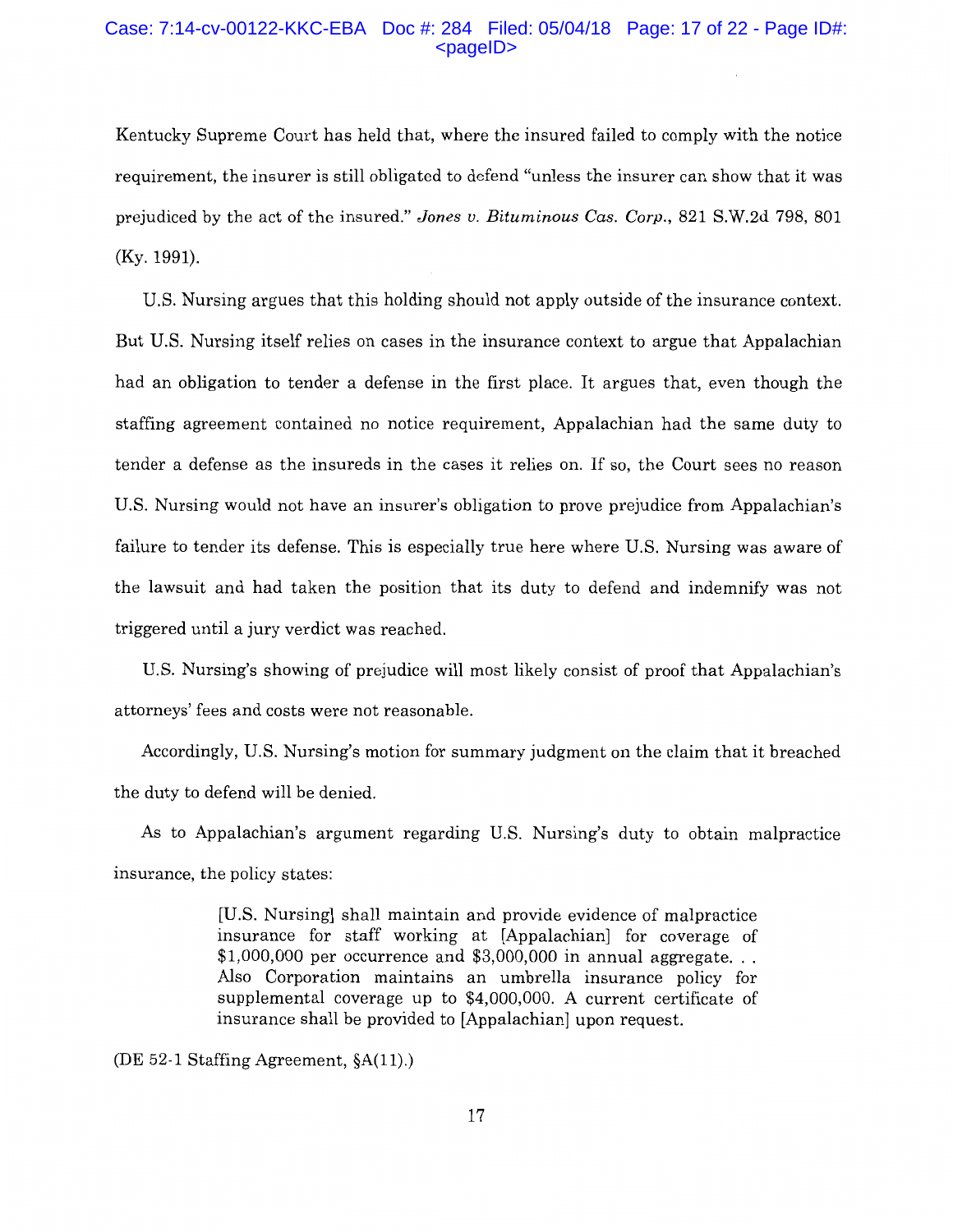## Case: 7:14-cv-00122-KKC-EBA Doc #: 284 Filed: 05/04/18 Page: 17 of 22 - Page ID#:  $<$ pageID $>$

Kentucky Supreme Court has held that, where the insured failed to comply with the notice requirement, the insurer is still obligated to defend "unless the insurer can show that it was prejudiced by the act of the insured." *Jones v. Bituminous Cas. Corp.,* 821 S.W.2d 798, 801 (Ky. 1991).

U.S. Nursing argues that this holding should not apply outside of the insurance context. But U.S. Nursing itself relies on cases in the insurance context to argue that Appalachian had an obligation to tender a defense in the first place. It argues that, even though the staffing agreement contained no notice requirement, Appalachian had the same duty to tender a defense as the insureds in the cases it relies on. If so, the Court sees no reason U.S. Nursing would not have an insurer's obligation to prove prejudice from Appalachian's failure to tender its defense. This is especially true here where U.S. Nursing was aware of the lawsuit and had taken the position that its duty to defend and indemnify was not triggered until a jury verdict was reached.

U.S. Nursing's showing of prejudice will most likely consist of proof that Appalachian's attorneys' fees and costs were not reasonable.

Accordingly, U.S. Nursing's motion for summary judgment on the claim that it breached the duty to defend will be denied.

As to Appalachian's argument regarding U.S. Nursing's duty to obtain malpractice insurance, the policy states:

> [U.S. Nursing] shall maintain and provide evidence of malpractice insurance for staff working at [Appalachian] for coverage of  $$1,000,000$  per occurrence and  $$3,000,000$  in annual aggregate... Also Corporation maintains an umbrella insurance policy for supplemental coverage up to \$4,000,000. A current certificate of insurance shall be provided to [Appalachian] upon request.

(DE 52-1 Staffing Agreement, §A(l 1).)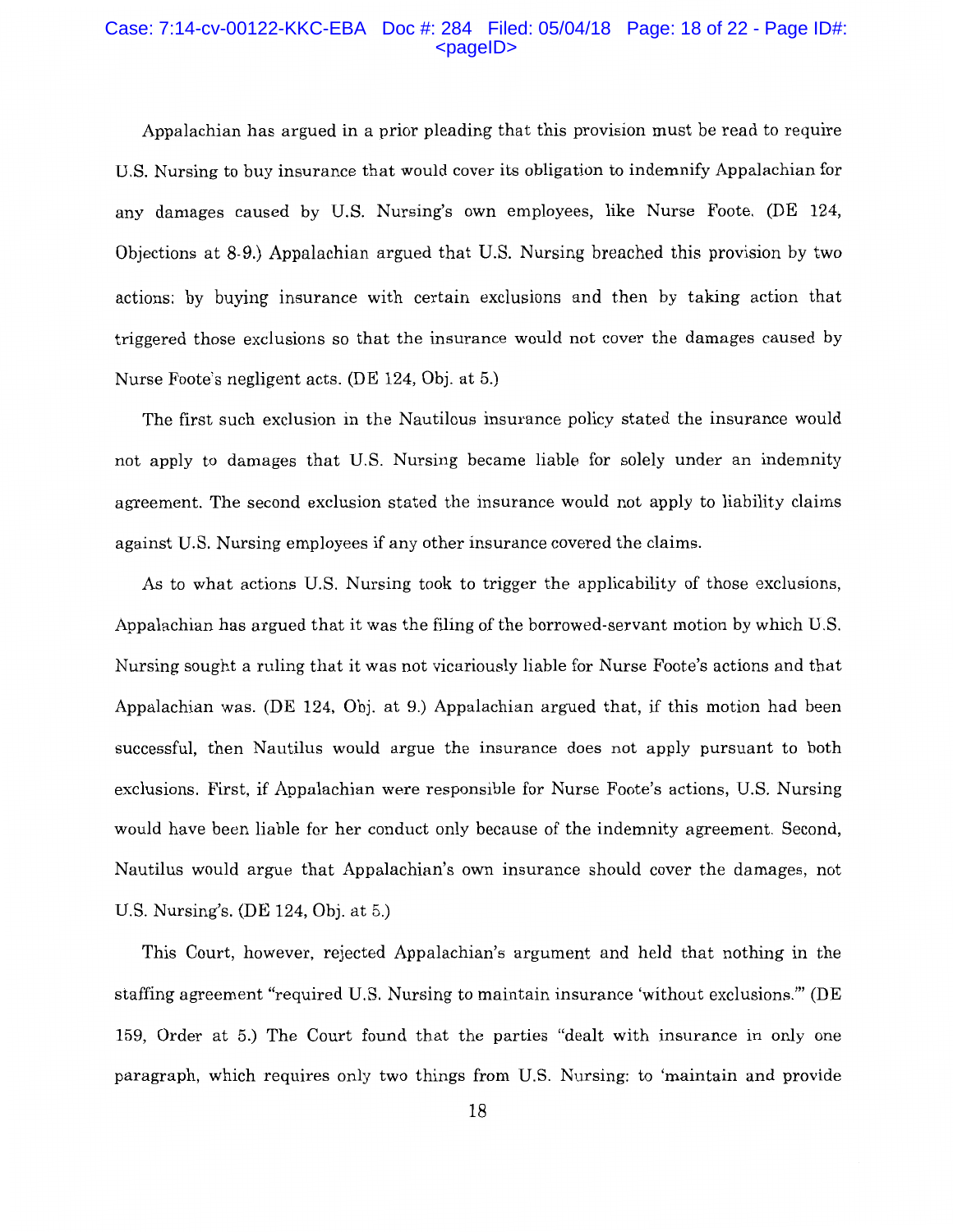#### Case: 7:14-cv-00122-KKC-EBA Doc #: 284 Filed: 05/04/18 Page: 18 of 22 - Page ID#:  $<$ pageID $>$

Appalachian has argued in a prior pleading that this provision must be read to require U.S. Nursing to buy insurance that would cover its obligation to indemnify Appalachian for any damages caused by U.S. Nursing's own employees, like Nurse Foote. (DE 124, Objections at 8-9.) Appalachian argued that U.S. Nursing breached this provision by two actions: by buying insurance with certain exclusions and then by taking action that triggered those exclusions so that the insurance would not cover the damages caused by Nurse Foote's negligent acts. (DE 124, Obj. at 5.)

The first such exclusion in the Nautilous insurance policy stated the insurance would not apply to damages that U.S. Nursing became liable for solely under an indemnity agreement. The second exclusion stated the insurance would not apply to liability claims against U.S. Nursing employees if any other insurance covered the claims.

As to what actions U.S. Nursing took to trigger the applicability of those exclusions, Appalachian has argued that it was the filing of the borrowed-servant motion by which U.S. Nursing sought a ruling that it was not vicariously liable for Nurse Foote's actions and that Appalachian was. (DE 124, Obj. at 9.) Appalachian argued that, if this motion had been successful, then Nautilus would argue the insurance does not apply pursuant to both exclusions. First, if Appalachian were responsible for Nurse Foote's actions, U.S. Nursing would have been liable for her conduct only because of the indemnity agreement. Second, Nautilus would argue that Appalachian's own insurance should cover the damages, not U.S. Nursing's. (DE 124, Obj. at 5.)

This Court, however, rejected Appalachian's argument and held that nothing in the staffing agreement "required U.S. Nursing to maintain insurance 'without exclusions.'" (DE 159, Order at 5.) The Court found that the parties "dealt with insurance in only one paragraph, which requires only two things from U.S. Nursing: to 'maintain and provide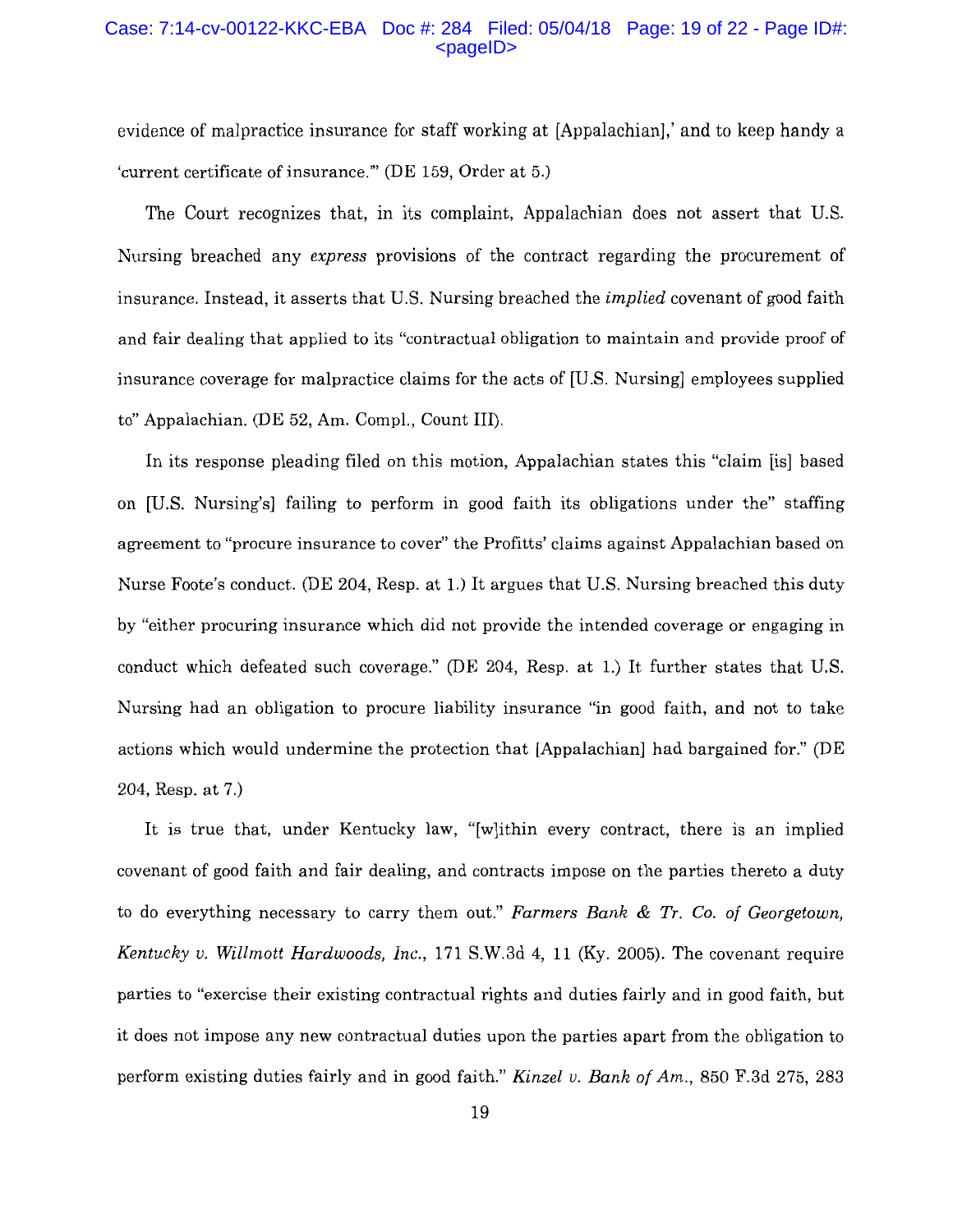## Case: 7:14-cv-00122-KKC-EBA Doc #: 284 Filed: 05/04/18 Page: 19 of 22 - Page ID#:  $<$ pageID $>$

evidence of malpractice insurance for staff working at [Appalachian],' and to keep handy a 'current certificate of insurance."' (DE 159, Order at 5.)

The Court recognizes that, in its complaint, Appalachian does not assert that U.S. Nursing breached any *express* provisions of the contract regarding the procurement of insurance. Instead, it asserts that U.S. Nursing breached the *implied* covenant of good faith and fair dealing that applied to its "contractual obligation to maintain and provide proof of insurance coverage for malpractice claims for the acts of [U.S. Nursing] employees supplied to" Appalachian. (DE 52, Am. Compl., Count III).

In its response pleading filed on this motion, Appalachian states this "claim [is] based on [U.S. Nursing's] failing to perform in good faith its obligations under the" staffing agreement to "procure insurance to cover" the Profitts' claims against Appalachian based on Nurse Foote's conduct. (DE 204, Resp. at 1.) It argues that U.S. Nursing breached this duty by "either procuring insurance which did not provide the intended coverage or engaging in conduct which defeated such coverage." (DE 204, Resp. at 1.) It further states that U.S. Nursing had an obligation to procure liability insurance "in good faith, and not to take actions which would undermine the protection that [Appalachian] had bargained for." (DE 204, Resp. at 7.)

It is true that, under Kentucky law, "[w]ithin every contract, there is an implied covenant of good faith and fair dealing, and contracts impose on the parties thereto a duty to do everything necessary to carry them out." *Farmers Bank* & *Tr.* Co. *of Georgetown, Kentucky v. Willmott Hardwoods, Inc.,* 171 S.W.3d 4, 11 (Ky. 2005). The covenant require parties to "exercise their existing contractual rights and duties fairly and in good faith, but it does not impose any new contractual duties upon the parties apart from the obligation to perform existing duties fairly and in good faith." *Kinzel v. Bank of Am.,* 850 F.3d 275, 283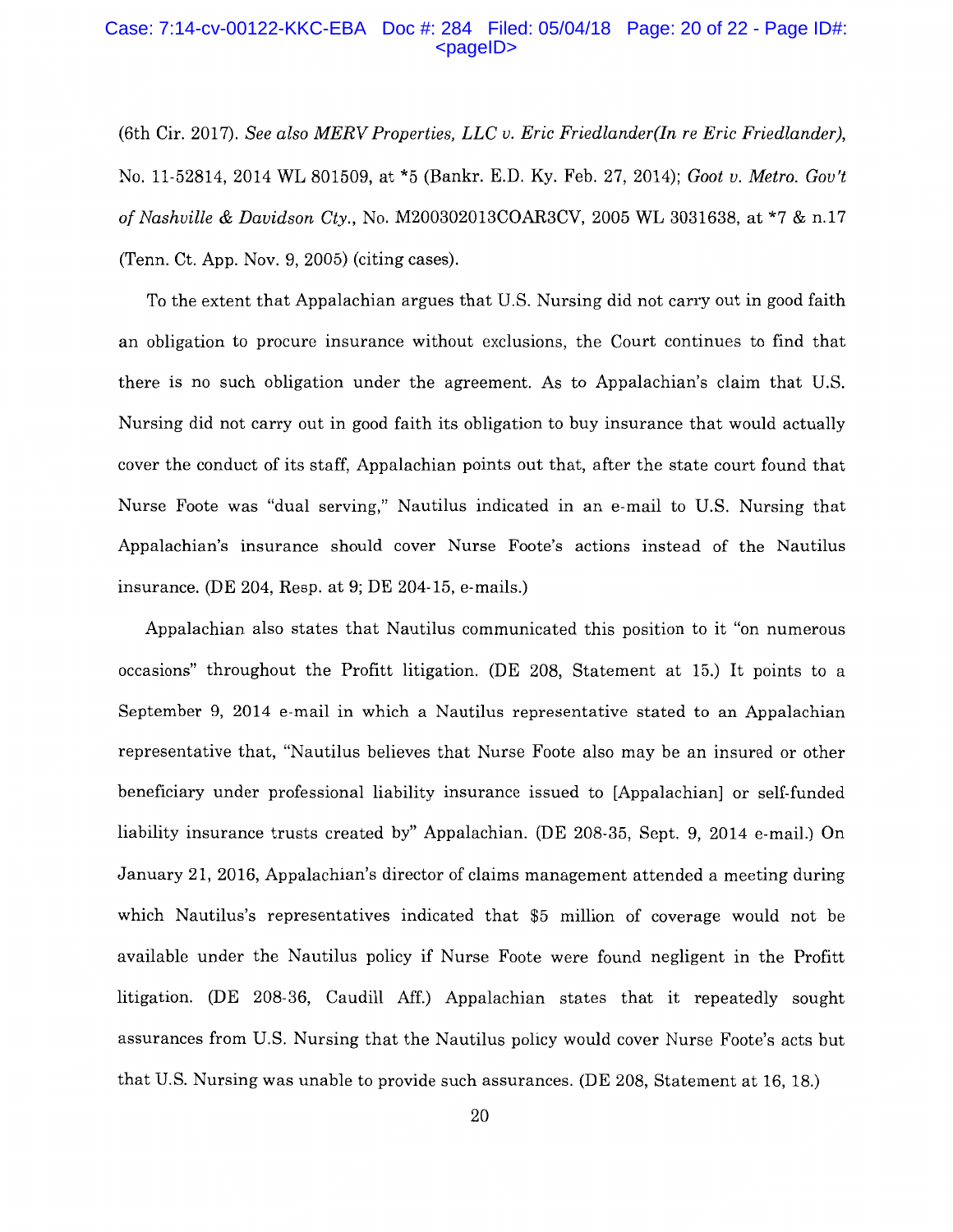### Case: 7:14-cv-00122-KKC-EBA Doc #: 284 Filed: 05/04/18 Page: 20 of 22 - Page ID#:  $<$ pageID $>$

(6th Cir. 2017). *See also MERV Properties, LLC v. Eric Friedlander(In re Eric Friedlander),*  No. 11-52814, 2014 WL 801509, at \*5 (Bankr. E.D. Ky. Feb. 27, 2014); *Goat v. Metro. Gov't of Nashville* & *Davidson Cty.,* No. M200302013COAR3CV, 2005 WL 3031638, at \*7 & n.17 (Tenn. Ct. App. Nov. 9, 2005) (citing cases).

To the extent that Appalachian argues that U.S. Nursing did not carry out in good faith an obligation to procure insurance without exclusions, the Court continues to find that there is no such obligation under the agreement. As to Appalachian's claim that U.S. Nursing did not carry out in good faith its obligation to buy insurance that would actually cover the conduct of its staff, Appalachian points out that, after the state court found that Nurse Foote was "dual serving," Nautilus indicated in an e-mail to U.S. Nursing that Appalachian's insurance should cover Nurse Foote's actions instead of the Nautilus insurance. (DE 204, Resp. at 9; DE 204-15, e-mails.)

Appalachian also states that Nautilus communicated this position to it "on numerous occasions" throughout the Profitt litigation. (DE 208, Statement at 15.) It points to a September 9, 2014 e-mail in which a Nautilus representative stated to an Appalachian representative that, "Nautilus believes that Nurse Foote also may be an insured or other beneficiary under professional liability insurance issued to [Appalachian] or self-funded liability insurance trusts created by" Appalachian. (DE 208-35, Sept. 9, 2014 e-mail.) On January 21, 2016, Appalachian's director of claims management attended a meeting during which Nautilus's representatives indicated that \$5 million of coverage would not be available under the Nautilus policy if Nurse Foote were found negligent in the Profitt litigation. (DE 208-36, Caudill Aff.) Appalachian states that it repeatedly sought assurances from U.S. Nursing that the Nautilus policy would cover Nurse Foote's acts but that U.S. Nursing was unable to provide such assurances. (DE 208, Statement at 16, 18.)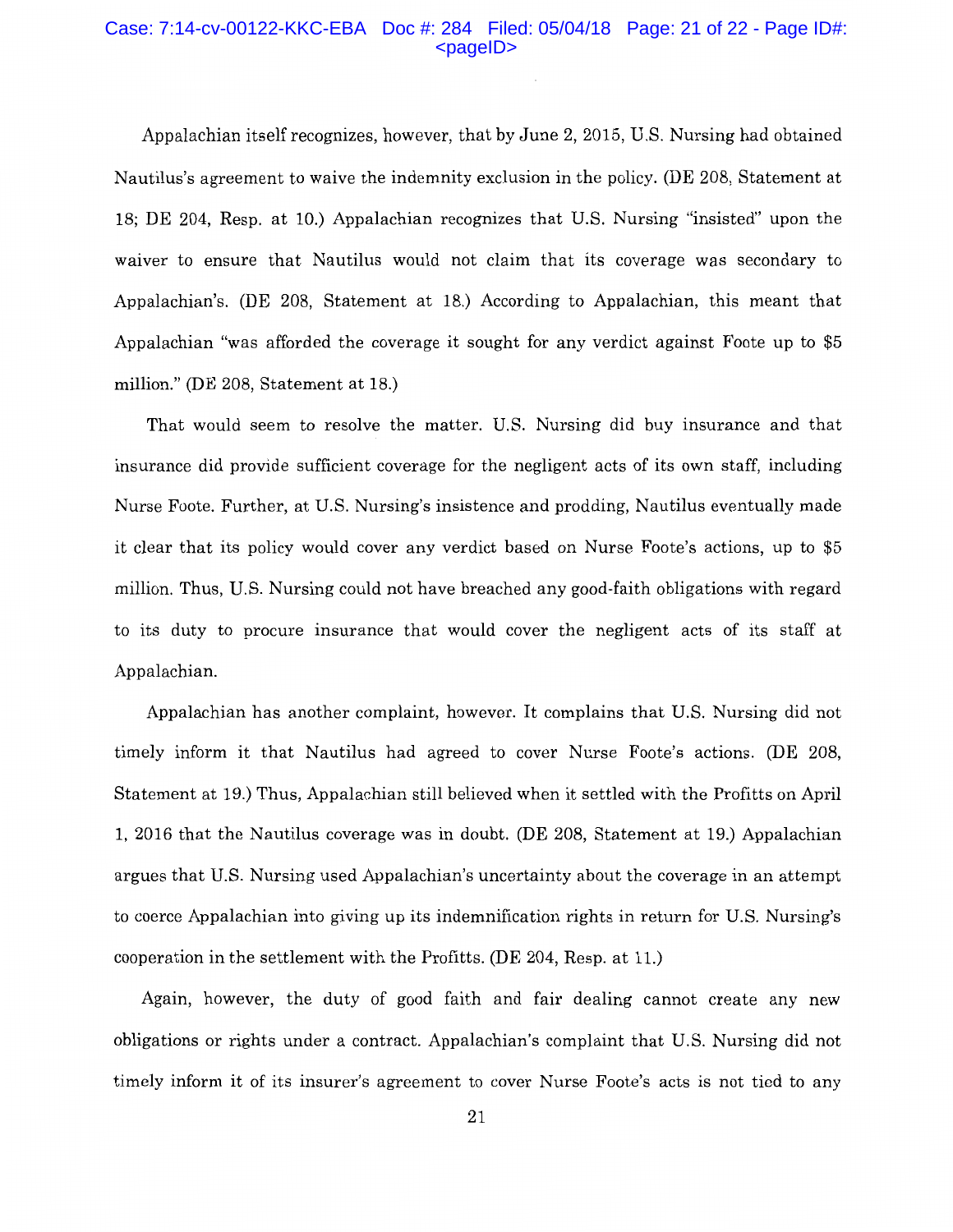#### Case: 7:14-cv-00122-KKC-EBA Doc #: 284 Filed: 05/04/18 Page: 21 of 22 - Page ID#: <pageID>

Appalachian itself recognizes, however, that by June 2, 2015, U.S. Nursing had obtained Nautilus's agreement to waive the indemnity exclusion in the policy. (DE 208, Statement at 18; DE 204, Resp. at 10.) Appalachian recognizes that U.S. Nursing "insisted" upon the waiver to ensure that Nautilus would not claim that its coverage was secondary to Appalachian's. (DE 208, Statement at 18.) According to Appalachian, this meant that Appalachian "was afforded the coverage it sought for any verdict against Foote up to \$5 million." (DE 208, Statement at 18.)

That would seem to resolve the matter. U.S. Nursing did buy insurance and that insurance did provide sufficient coverage for the negligent acts of its own staff, including Nurse Foote. Further, at U.S. Nursing's insistence and prodding, Nautilus eventually made it clear that its policy would cover any verdict based on Nurse Foote's actions, up to \$5 million. Thus, U.S. Nursing could not have breached any good-faith obligations with regard to its duty to procure insurance that would cover the negligent acts of its staff at Appalachian.

Appalachian has another complaint, however. It complains that U.S. Nursing did not timely inform it that Nautilus had agreed to cover Nurse Foote's actions. (DE 208, Statement at 19.) Thus, Appalachian still believed when it settled with the Profitts on April 1, 2016 that the Nautilus coverage was in doubt. (DE 208, Statement at 19.) Appalachian argues that U.S. Nursing used Appalachian's uncertainty about the coverage in an attempt to coerce Appalachian into giving up its indemnification rights in return for U.S. Nursing's cooperation in the settlement with the Profitts. (DE 204, Resp. at 11.)

Again, however, the duty of good faith and fair dealing cannot create any new obligations or rights under a contract. Appalachian's complaint that U.S. Nursing did not timely inform it of its insurer's agreement to cover Nurse Foote's acts is not tied to any